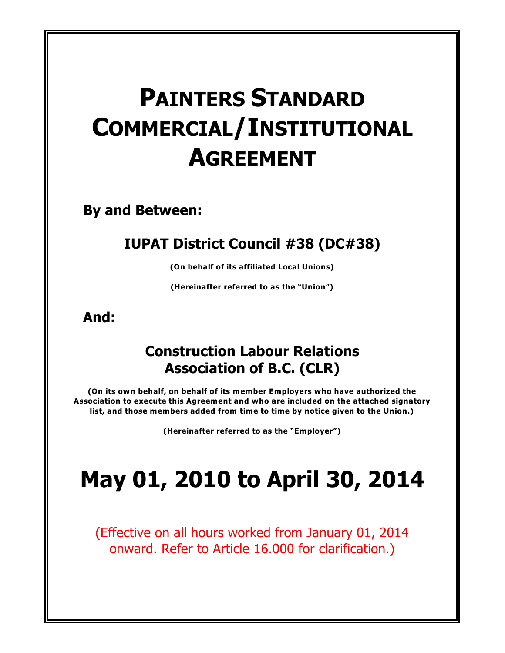# **PAINTERS STANDARD COMMERCIAL/INSTITUTIONAL AGREEMENT**

**By and Between:**

# **IUPAT District Council #38 (DC#38)**

**(On behalf of its affiliated Local Unions)**

**(Hereinafter referred to as the "Union")**

**And:**

# **Construction Labour Relations Association of B.C. (CLR)**

**(On its own behalf, on behalf of its member Employers who have authorized the Association to execute this Agreement and who are included on the attached signatory list, and those members added from time to time by notice given to the Union.)**

**(Hereinafter referred to as the "Employer")**

# **May 01, 2010 to April 30, 2014**

(Effective on all hours worked from January 01, 2014 onward. Refer to Article 16.000 for clarification.)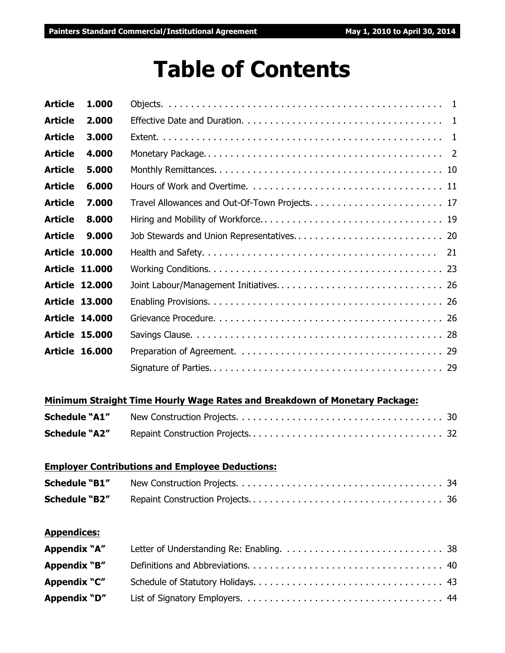# **Table of Contents**

| <b>Article</b>       | 1.000                 |                                                                            |
|----------------------|-----------------------|----------------------------------------------------------------------------|
| <b>Article</b>       | 2.000                 |                                                                            |
| <b>Article</b>       | 3.000                 |                                                                            |
| <b>Article</b>       | 4.000                 |                                                                            |
| <b>Article</b>       | 5.000                 |                                                                            |
| <b>Article</b>       | 6.000                 |                                                                            |
| <b>Article</b>       | 7.000                 |                                                                            |
| <b>Article</b>       | 8.000                 |                                                                            |
| <b>Article</b>       | 9.000                 |                                                                            |
|                      | <b>Article 10.000</b> | 21                                                                         |
|                      | <b>Article 11.000</b> |                                                                            |
|                      | <b>Article 12.000</b> |                                                                            |
|                      | <b>Article 13.000</b> |                                                                            |
|                      | <b>Article 14.000</b> |                                                                            |
|                      | <b>Article 15.000</b> |                                                                            |
|                      | <b>Article 16.000</b> |                                                                            |
|                      |                       |                                                                            |
|                      |                       |                                                                            |
| <b>Schedule "A1"</b> |                       | Minimum Straight Time Hourly Wage Rates and Breakdown of Monetary Package: |
| <b>Schedule "A2"</b> |                       |                                                                            |
|                      |                       |                                                                            |
|                      |                       | <b>Employer Contributions and Employee Deductions:</b>                     |
| <b>Schedule "B1"</b> |                       |                                                                            |
| <b>Schedule "B2"</b> |                       |                                                                            |
|                      |                       |                                                                            |
| <b>Appendices:</b>   |                       |                                                                            |
| Appendix "A"         |                       |                                                                            |
| Appendix "B"         |                       |                                                                            |
| Appendix "C"         |                       |                                                                            |

**Appendix "D"** List of Signatory Employers. . . . . . . . . . . . . . . . . . . . . . . . . . . . . . . . . . . . 44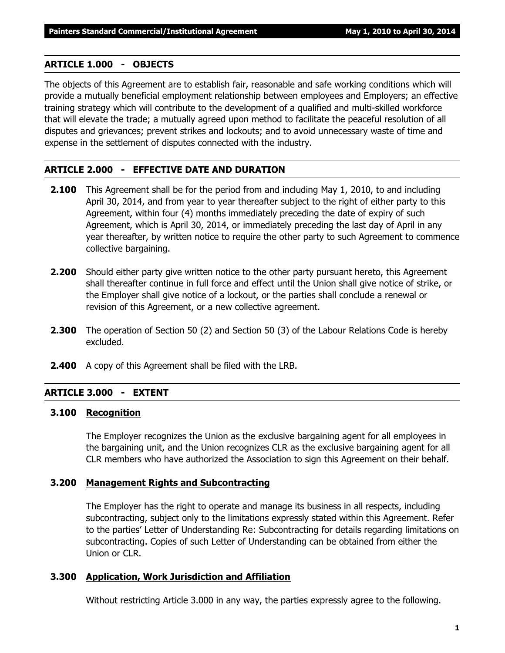#### **ARTICLE 1.000 - OBJECTS**

The objects of this Agreement are to establish fair, reasonable and safe working conditions which will provide a mutually beneficial employment relationship between employees and Employers; an effective training strategy which will contribute to the development of a qualified and multi-skilled workforce that will elevate the trade; a mutually agreed upon method to facilitate the peaceful resolution of all disputes and grievances; prevent strikes and lockouts; and to avoid unnecessary waste of time and expense in the settlement of disputes connected with the industry.

#### **ARTICLE 2.000 - EFFECTIVE DATE AND DURATION**

- **2.100** This Agreement shall be for the period from and including May 1, 2010, to and including April 30, 2014, and from year to year thereafter subject to the right of either party to this Agreement, within four (4) months immediately preceding the date of expiry of such Agreement, which is April 30, 2014, or immediately preceding the last day of April in any year thereafter, by written notice to require the other party to such Agreement to commence collective bargaining.
- **2.200** Should either party give written notice to the other party pursuant hereto, this Agreement shall thereafter continue in full force and effect until the Union shall give notice of strike, or the Employer shall give notice of a lockout, or the parties shall conclude a renewal or revision of this Agreement, or a new collective agreement.
- **2.300** The operation of Section 50 (2) and Section 50 (3) of the *Labour Relations Code* is hereby excluded.
- **2.400** A copy of this Agreement shall be filed with the LRB.

#### **ARTICLE 3.000 - EXTENT**

#### **3.100 Recognition**

The Employer recognizes the Union as the exclusive bargaining agent for all employees in the bargaining unit, and the Union recognizes CLR as the exclusive bargaining agent for all CLR members who have authorized the Association to sign this Agreement on their behalf.

#### **3.200 Management Rights and Subcontracting**

The Employer has the right to operate and manage its business in all respects, including subcontracting, subject only to the limitations expressly stated within this Agreement. Refer to the parties' Letter of Understanding Re: Subcontracting for details regarding limitations on subcontracting. Copies of such Letter of Understanding can be obtained from either the Union or CLR.

#### **3.300 Application, Work Jurisdiction and Affiliation**

Without restricting Article 3.000 in any way, the parties expressly agree to the following.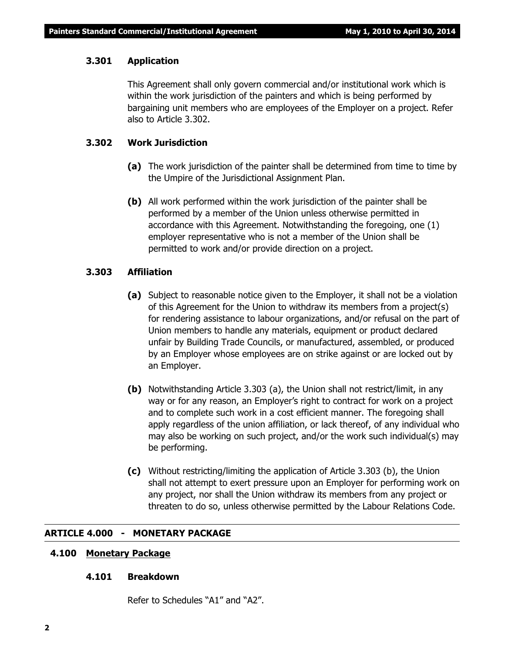#### **3.301 Application**

This Agreement shall only govern commercial and/or institutional work which is within the work jurisdiction of the painters and which is being performed by bargaining unit members who are employees of the Employer on a project. Refer also to Article 3.302.

#### **3.302 Work Jurisdiction**

- **(a)** The work jurisdiction of the painter shall be determined from time to time by the Umpire of the Jurisdictional Assignment Plan.
- **(b)** All work performed within the work jurisdiction of the painter shall be performed by a member of the Union unless otherwise permitted in accordance with this Agreement. Notwithstanding the foregoing, one (1) employer representative who is not a member of the Union shall be permitted to work and/or provide direction on a project.

#### **3.303 Affiliation**

- **(a)** Subject to reasonable notice given to the Employer, it shall not be a violation of this Agreement for the Union to withdraw its members from a project(s) for rendering assistance to labour organizations, and/or refusal on the part of Union members to handle any materials, equipment or product declared unfair by Building Trade Councils, or manufactured, assembled, or produced by an Employer whose employees are on strike against or are locked out by an Employer.
- **(b)** Notwithstanding Article 3.303 (a), the Union shall not restrict/limit, in any way or for any reason, an Employer's right to contract for work on a project and to complete such work in a cost efficient manner. The foregoing shall apply regardless of the union affiliation, or lack thereof, of any individual who may also be working on such project, and/or the work such individual(s) may be performing.
- **(c)** Without restricting/limiting the application of Article 3.303 (b), the Union shall not attempt to exert pressure upon an Employer for performing work on any project, nor shall the Union withdraw its members from any project or threaten to do so, unless otherwise permitted by the *Labour Relations Code*.

#### **ARTICLE 4.000 - MONETARY PACKAGE**

#### **4.100 Monetary Package**

#### **4.101 Breakdown**

Refer to Schedules "A1" and "A2".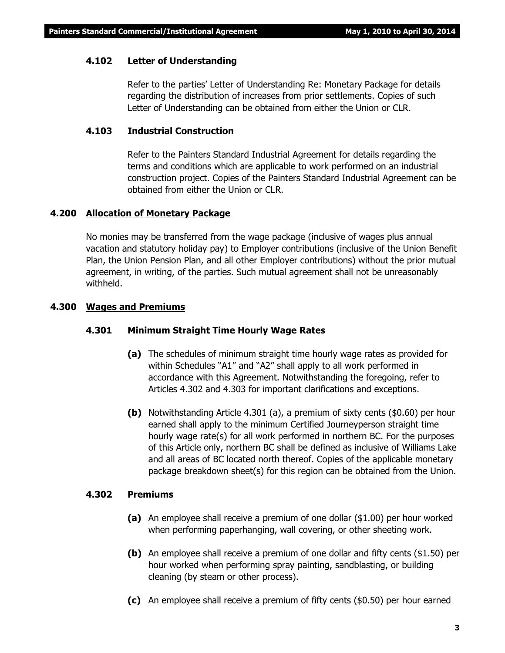#### **4.102 Letter of Understanding**

Refer to the parties' Letter of Understanding Re: Monetary Package for details regarding the distribution of increases from prior settlements. Copies of such Letter of Understanding can be obtained from either the Union or CLR.

#### **4.103 Industrial Construction**

Refer to the Painters Standard Industrial Agreement for details regarding the terms and conditions which are applicable to work performed on an industrial construction project. Copies of the Painters Standard Industrial Agreement can be obtained from either the Union or CLR.

#### **4.200 Allocation of Monetary Package**

No monies may be transferred from the wage package (inclusive of wages plus annual vacation and statutory holiday pay) to Employer contributions (inclusive of the Union Benefit Plan, the Union Pension Plan, and all other Employer contributions) without the prior mutual agreement, in writing, of the parties. Such mutual agreement shall not be unreasonably withheld.

#### **4.300 Wages and Premiums**

#### **4.301 Minimum Straight Time Hourly Wage Rates**

- **(a)** The schedules of minimum straight time hourly wage rates as provided for within Schedules "A1" and "A2" shall apply to all work performed in accordance with this Agreement. Notwithstanding the foregoing, refer to Articles 4.302 and 4.303 for important clarifications and exceptions.
- **(b)** Notwithstanding Article 4.301 (a), a premium of sixty cents (\$0.60) per hour earned shall apply to the minimum Certified Journeyperson straight time hourly wage rate(s) for all work performed in northern BC. For the purposes of this Article only, northern BC shall be defined as inclusive of Williams Lake and all areas of BC located north thereof. Copies of the applicable monetary package breakdown sheet(s) for this region can be obtained from the Union.

#### **4.302 Premiums**

- **(a)** An employee shall receive a premium of one dollar (\$1.00) per hour worked when performing paperhanging, wall covering, or other sheeting work.
- **(b)** An employee shall receive a premium of one dollar and fifty cents (\$1.50) per hour worked when performing spray painting, sandblasting, or building cleaning (by steam or other process).
- **(c)** An employee shall receive a premium of fifty cents (\$0.50) per hour earned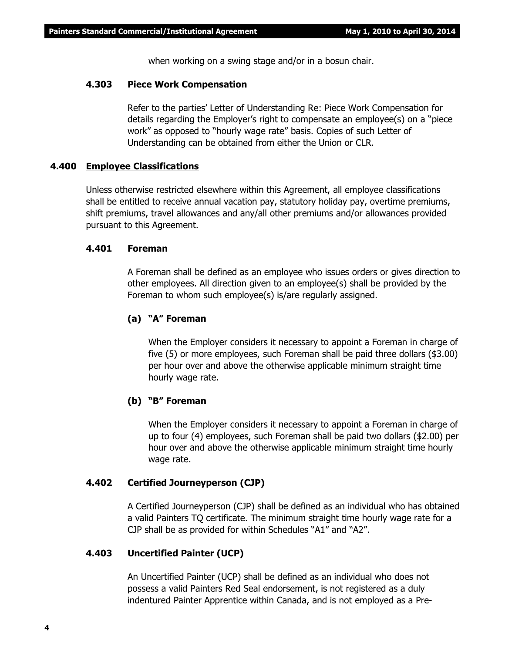when working on a swing stage and/or in a bosun chair.

#### **4.303 Piece Work Compensation**

Refer to the parties' Letter of Understanding Re: Piece Work Compensation for details regarding the Employer's right to compensate an employee(s) on a "piece work" as opposed to "hourly wage rate" basis. Copies of such Letter of Understanding can be obtained from either the Union or CLR.

#### **4.400 Employee Classifications**

Unless otherwise restricted elsewhere within this Agreement, all employee classifications shall be entitled to receive annual vacation pay, statutory holiday pay, overtime premiums, shift premiums, travel allowances and any/all other premiums and/or allowances provided pursuant to this Agreement.

#### **4.401 Foreman**

A Foreman shall be defined as an employee who issues orders or gives direction to other employees. All direction given to an employee(s) shall be provided by the Foreman to whom such employee(s) is/are regularly assigned.

#### **(a) "A" Foreman**

When the Employer considers it necessary to appoint a Foreman in charge of five (5) or more employees, such Foreman shall be paid three dollars (\$3.00) per hour over and above the otherwise applicable minimum straight time hourly wage rate.

#### **(b) "B" Foreman**

When the Employer considers it necessary to appoint a Foreman in charge of up to four (4) employees, such Foreman shall be paid two dollars (\$2.00) per hour over and above the otherwise applicable minimum straight time hourly wage rate.

#### **4.402 Certified Journeyperson (CJP)**

A Certified Journeyperson (CJP) shall be defined as an individual who has obtained a valid Painters TQ certificate. The minimum straight time hourly wage rate for a CJP shall be as provided for within Schedules "A1" and "A2".

#### **4.403 Uncertified Painter (UCP)**

An Uncertified Painter (UCP) shall be defined as an individual who does not possess a valid Painters Red Seal endorsement, is not registered as a duly indentured Painter Apprentice within Canada, and is not employed as a Pre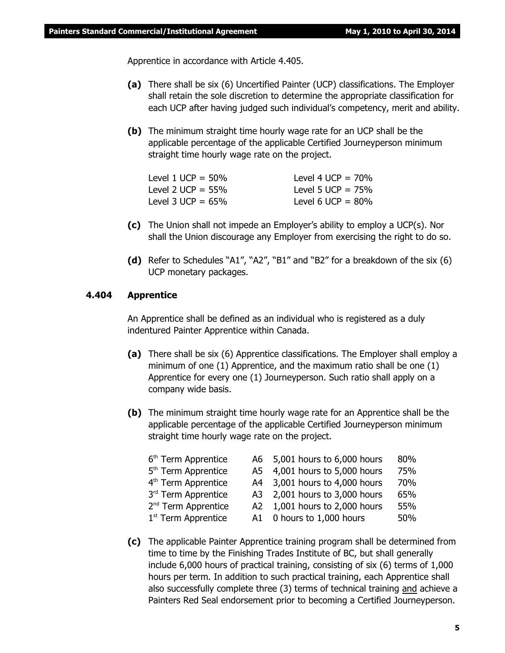Apprentice in accordance with Article 4.405.

- **(a)** There shall be six (6) Uncertified Painter (UCP) classifications. The Employer shall retain the sole discretion to determine the appropriate classification for each UCP after having judged such individual's competency, merit and ability.
- **(b)** The minimum straight time hourly wage rate for an UCP shall be the applicable percentage of the applicable Certified Journeyperson minimum straight time hourly wage rate on the project.

| Level 1 UCP = $50\%$ | Level 4 UCP = $70\%$ |
|----------------------|----------------------|
| Level 2 UCP = $55\%$ | Level 5 UCP = $75%$  |
| Level 3 UCP = $65\%$ | Level 6 UCP = $80\%$ |

- **(c)** The Union shall not impede an Employer's ability to employ a UCP(s). Nor shall the Union discourage any Employer from exercising the right to do so.
- **(d)** Refer to Schedules "A1", "A2", "B1" and "B2" for a breakdown of the six (6) UCP monetary packages.

#### **4.404 Apprentice**

An Apprentice shall be defined as an individual who is registered as a duly indentured Painter Apprentice within Canada.

- **(a)** There shall be six (6) Apprentice classifications. The Employer shall employ a minimum of one (1) Apprentice, and the maximum ratio shall be one (1) Apprentice for every one (1) Journeyperson. Such ratio shall apply on a company wide basis.
- **(b)** The minimum straight time hourly wage rate for an Apprentice shall be the applicable percentage of the applicable Certified Journeyperson minimum straight time hourly wage rate on the project.

| 6 <sup>th</sup> Term Apprentice | A6 5,001 hours to 6,000 hours | 80% |
|---------------------------------|-------------------------------|-----|
| 5 <sup>th</sup> Term Apprentice | A5 4,001 hours to 5,000 hours | 75% |
| 4 <sup>th</sup> Term Apprentice | A4 3,001 hours to 4,000 hours | 70% |
| 3rd Term Apprentice             | A3 2,001 hours to 3,000 hours | 65% |
| 2 <sup>nd</sup> Term Apprentice | A2 1,001 hours to 2,000 hours | 55% |
| $1st$ Term Apprentice           | A1 0 hours to 1,000 hours     | 50% |

**(c)** The applicable Painter Apprentice training program shall be determined from time to time by the Finishing Trades Institute of BC, but shall generally include 6,000 hours of practical training, consisting of six (6) terms of 1,000 hours per term. In addition to such practical training, each Apprentice shall also successfully complete three (3) terms of technical training and achieve a Painters Red Seal endorsement prior to becoming a Certified Journeyperson.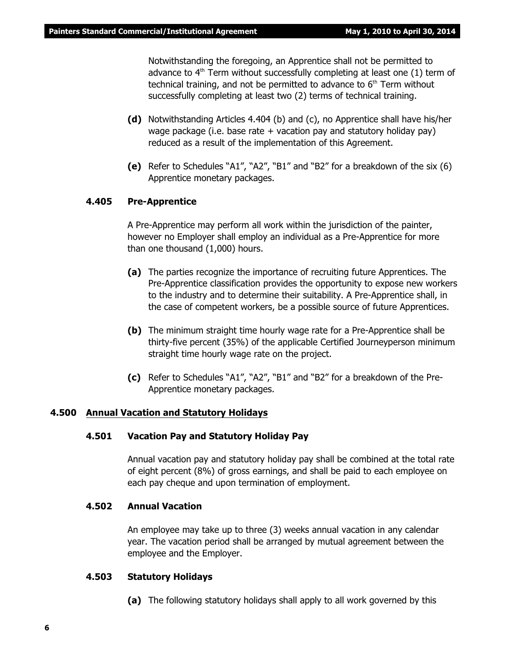Notwithstanding the foregoing, an Apprentice shall not be permitted to advance to  $4<sup>th</sup>$  Term without successfully completing at least one (1) term of technical training, and not be permitted to advance to  $6<sup>th</sup>$  Term without successfully completing at least two (2) terms of technical training.

- **(d)** Notwithstanding Articles 4.404 (b) and (c), no Apprentice shall have his/her wage package (i.e. base rate  $+$  vacation pay and statutory holiday pay) reduced as a result of the implementation of this Agreement.
- **(e)** Refer to Schedules "A1", "A2", "B1" and "B2" for a breakdown of the six (6) Apprentice monetary packages.

#### **4.405 Pre-Apprentice**

A Pre-Apprentice may perform all work within the jurisdiction of the painter, however no Employer shall employ an individual as a Pre-Apprentice for more than one thousand (1,000) hours.

- **(a)** The parties recognize the importance of recruiting future Apprentices. The Pre-Apprentice classification provides the opportunity to expose new workers to the industry and to determine their suitability. A Pre-Apprentice shall, in the case of competent workers, be a possible source of future Apprentices.
- **(b)** The minimum straight time hourly wage rate for a Pre-Apprentice shall be thirty-five percent (35%) of the applicable Certified Journeyperson minimum straight time hourly wage rate on the project.
- **(c)** Refer to Schedules "A1", "A2", "B1" and "B2" for a breakdown of the Pre-Apprentice monetary packages.

#### **4.500 Annual Vacation and Statutory Holidays**

#### **4.501 Vacation Pay and Statutory Holiday Pay**

Annual vacation pay and statutory holiday pay shall be combined at the total rate of eight percent (8%) of gross earnings, and shall be paid to each employee on each pay cheque and upon termination of employment.

#### **4.502 Annual Vacation**

An employee may take up to three (3) weeks annual vacation in any calendar year. The vacation period shall be arranged by mutual agreement between the employee and the Employer.

#### **4.503 Statutory Holidays**

**(a)** The following statutory holidays shall apply to all work governed by this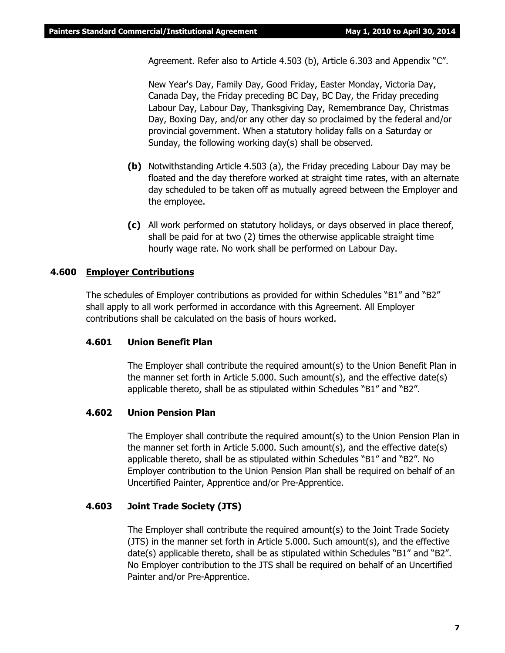Agreement. Refer also to Article 4.503 (b), Article 6.303 and Appendix "C".

New Year's Day, Family Day, Good Friday, Easter Monday, Victoria Day, Canada Day, the Friday preceding BC Day, BC Day, the Friday preceding Labour Day, Labour Day, Thanksgiving Day, Remembrance Day, Christmas Day, Boxing Day, and/or any other day so proclaimed by the federal and/or provincial government. When a statutory holiday falls on a Saturday or Sunday, the following working day(s) shall be observed.

- **(b)** Notwithstanding Article 4.503 (a), the Friday preceding Labour Day may be floated and the day therefore worked at straight time rates, with an alternate day scheduled to be taken off as mutually agreed between the Employer and the employee.
- **(c)** All work performed on statutory holidays, or days observed in place thereof, shall be paid for at two (2) times the otherwise applicable straight time hourly wage rate. No work shall be performed on Labour Day.

#### **4.600 Employer Contributions**

The schedules of Employer contributions as provided for within Schedules "B1" and "B2" shall apply to all work performed in accordance with this Agreement. All Employer contributions shall be calculated on the basis of hours worked.

#### **4.601 Union Benefit Plan**

The Employer shall contribute the required amount(s) to the Union Benefit Plan in the manner set forth in Article 5.000. Such amount(s), and the effective date(s) applicable thereto, shall be as stipulated within Schedules "B1" and "B2".

#### **4.602 Union Pension Plan**

The Employer shall contribute the required amount(s) to the Union Pension Plan in the manner set forth in Article 5.000. Such amount(s), and the effective date(s) applicable thereto, shall be as stipulated within Schedules "B1" and "B2". No Employer contribution to the Union Pension Plan shall be required on behalf of an Uncertified Painter, Apprentice and/or Pre-Apprentice.

#### **4.603 Joint Trade Society (JTS)**

The Employer shall contribute the required amount(s) to the Joint Trade Society (JTS) in the manner set forth in Article 5.000. Such amount(s), and the effective date(s) applicable thereto, shall be as stipulated within Schedules "B1" and "B2". No Employer contribution to the JTS shall be required on behalf of an Uncertified Painter and/or Pre-Apprentice.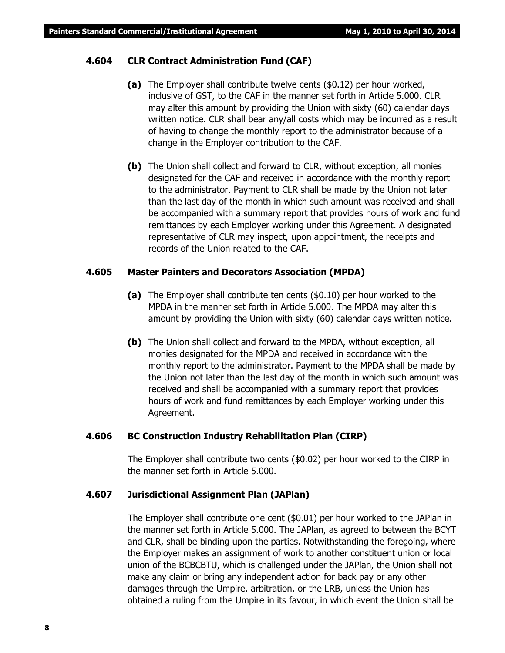#### **4.604 CLR Contract Administration Fund (CAF)**

- **(a)** The Employer shall contribute twelve cents (\$0.12) per hour worked, inclusive of GST, to the CAF in the manner set forth in Article 5.000. CLR may alter this amount by providing the Union with sixty (60) calendar days written notice. CLR shall bear any/all costs which may be incurred as a result of having to change the monthly report to the administrator because of a change in the Employer contribution to the CAF.
- **(b)** The Union shall collect and forward to CLR, without exception, all monies designated for the CAF and received in accordance with the monthly report to the administrator. Payment to CLR shall be made by the Union not later than the last day of the month in which such amount was received and shall be accompanied with a summary report that provides hours of work and fund remittances by each Employer working under this Agreement. A designated representative of CLR may inspect, upon appointment, the receipts and records of the Union related to the CAF.

#### **4.605 Master Painters and Decorators Association (MPDA)**

- **(a)** The Employer shall contribute ten cents (\$0.10) per hour worked to the MPDA in the manner set forth in Article 5.000. The MPDA may alter this amount by providing the Union with sixty (60) calendar days written notice.
- **(b)** The Union shall collect and forward to the MPDA, without exception, all monies designated for the MPDA and received in accordance with the monthly report to the administrator. Payment to the MPDA shall be made by the Union not later than the last day of the month in which such amount was received and shall be accompanied with a summary report that provides hours of work and fund remittances by each Employer working under this Agreement.

#### **4.606 BC Construction Industry Rehabilitation Plan (CIRP)**

The Employer shall contribute two cents (\$0.02) per hour worked to the CIRP in the manner set forth in Article 5.000.

#### **4.607 Jurisdictional Assignment Plan (JAPlan)**

The Employer shall contribute one cent (\$0.01) per hour worked to the JAPlan in the manner set forth in Article 5.000. The JAPlan, as agreed to between the BCYT and CLR, shall be binding upon the parties. Notwithstanding the foregoing, where the Employer makes an assignment of work to another constituent union or local union of the BCBCBTU, which is challenged under the JAPlan, the Union shall not make any claim or bring any independent action for back pay or any other damages through the Umpire, arbitration, or the LRB, unless the Union has obtained a ruling from the Umpire in its favour, in which event the Union shall be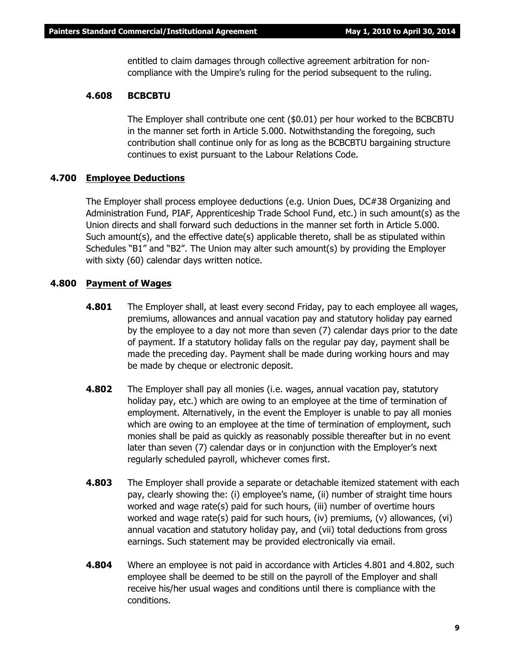entitled to claim damages through collective agreement arbitration for noncompliance with the Umpire's ruling for the period subsequent to the ruling.

#### **4.608 BCBCBTU**

The Employer shall contribute one cent (\$0.01) per hour worked to the BCBCBTU in the manner set forth in Article 5.000. Notwithstanding the foregoing, such contribution shall continue only for as long as the BCBCBTU bargaining structure continues to exist pursuant to the *Labour Relations Code*.

#### **4.700 Employee Deductions**

The Employer shall process employee deductions (e.g. Union Dues, DC#38 Organizing and Administration Fund, PIAF, Apprenticeship Trade School Fund, etc.) in such amount(s) as the Union directs and shall forward such deductions in the manner set forth in Article 5.000. Such amount(s), and the effective date(s) applicable thereto, shall be as stipulated within Schedules "B1" and "B2". The Union may alter such amount(s) by providing the Employer with sixty (60) calendar days written notice.

#### **4.800 Payment of Wages**

- **4.801** The Employer shall, at least every second Friday, pay to each employee all wages, premiums, allowances and annual vacation pay and statutory holiday pay earned by the employee to a day not more than seven (7) calendar days prior to the date of payment. If a statutory holiday falls on the regular pay day, payment shall be made the preceding day. Payment shall be made during working hours and may be made by cheque or electronic deposit.
- **4.802** The Employer shall pay all monies (i.e. wages, annual vacation pay, statutory holiday pay, etc.) which are owing to an employee at the time of termination of employment. Alternatively, in the event the Employer is unable to pay all monies which are owing to an employee at the time of termination of employment, such monies shall be paid as quickly as reasonably possible thereafter but in no event later than seven (7) calendar days or in conjunction with the Employer's next regularly scheduled payroll, whichever comes first.
- **4.803** The Employer shall provide a separate or detachable itemized statement with each pay, clearly showing the: (i) employee's name, (ii) number of straight time hours worked and wage rate(s) paid for such hours, (iii) number of overtime hours worked and wage rate(s) paid for such hours, (iv) premiums, (v) allowances, (vi) annual vacation and statutory holiday pay, and (vii) total deductions from gross earnings. Such statement may be provided electronically via email.
- **4.804** Where an employee is not paid in accordance with Articles 4.801 and 4.802, such employee shall be deemed to be still on the payroll of the Employer and shall receive his/her usual wages and conditions until there is compliance with the conditions.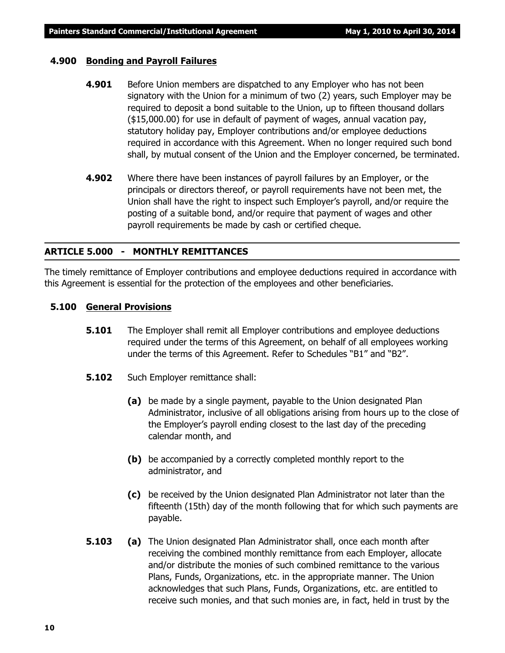#### **4.900 Bonding and Payroll Failures**

- **4.901** Before Union members are dispatched to any Employer who has not been signatory with the Union for a minimum of two (2) years, such Employer may be required to deposit a bond suitable to the Union, up to fifteen thousand dollars (\$15,000.00) for use in default of payment of wages, annual vacation pay, statutory holiday pay, Employer contributions and/or employee deductions required in accordance with this Agreement. When no longer required such bond shall, by mutual consent of the Union and the Employer concerned, be terminated.
- **4.902** Where there have been instances of payroll failures by an Employer, or the principals or directors thereof, or payroll requirements have not been met, the Union shall have the right to inspect such Employer's payroll, and/or require the posting of a suitable bond, and/or require that payment of wages and other payroll requirements be made by cash or certified cheque.

#### **ARTICLE 5.000 - MONTHLY REMITTANCES**

The timely remittance of Employer contributions and employee deductions required in accordance with this Agreement is essential for the protection of the employees and other beneficiaries.

#### **5.100 General Provisions**

- **5.101** The Employer shall remit all Employer contributions and employee deductions required under the terms of this Agreement, on behalf of all employees working under the terms of this Agreement. Refer to Schedules "B1" and "B2".
- **5.102** Such Employer remittance shall:
	- **(a)** be made by a single payment, payable to the Union designated Plan Administrator, inclusive of all obligations arising from hours up to the close of the Employer's payroll ending closest to the last day of the preceding calendar month, and
	- **(b)** be accompanied by a correctly completed monthly report to the administrator, and
	- **(c)** be received by the Union designated Plan Administrator not later than the fifteenth (15th) day of the month following that for which such payments are payable.
- **5.103 (a)** The Union designated Plan Administrator shall, once each month after receiving the combined monthly remittance from each Employer, allocate and/or distribute the monies of such combined remittance to the various Plans, Funds, Organizations, etc. in the appropriate manner. The Union acknowledges that such Plans, Funds, Organizations, etc. are entitled to receive such monies, and that such monies are, in fact, held in trust by the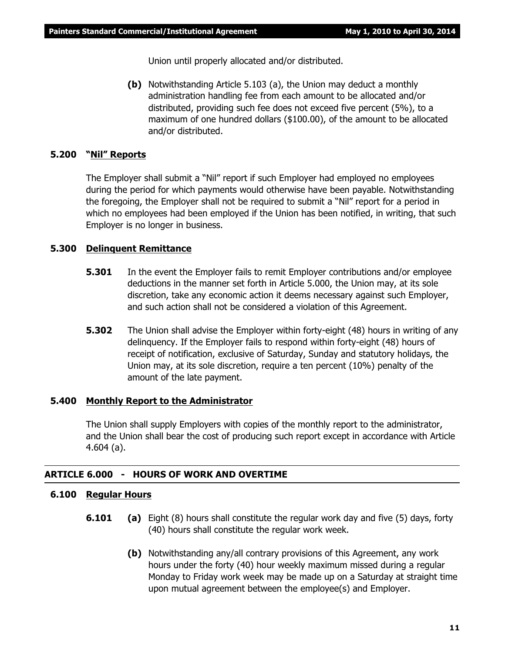Union until properly allocated and/or distributed.

**(b)** Notwithstanding Article 5.103 (a), the Union may deduct a monthly administration handling fee from each amount to be allocated and/or distributed, providing such fee does not exceed five percent (5%), to a maximum of one hundred dollars (\$100.00), of the amount to be allocated and/or distributed.

### **5.200 "Nil" Reports**

The Employer shall submit a "Nil" report if such Employer had employed no employees during the period for which payments would otherwise have been payable. Notwithstanding the foregoing, the Employer shall not be required to submit a "Nil" report for a period in which no employees had been employed if the Union has been notified, in writing, that such Employer is no longer in business.

#### **5.300 Delinquent Remittance**

- **5.301** In the event the Employer fails to remit Employer contributions and/or employee deductions in the manner set forth in Article 5.000, the Union may, at its sole discretion, take any economic action it deems necessary against such Employer, and such action shall not be considered a violation of this Agreement.
- **5.302** The Union shall advise the Employer within forty-eight (48) hours in writing of any delinquency. If the Employer fails to respond within forty-eight (48) hours of receipt of notification, exclusive of Saturday, Sunday and statutory holidays, the Union may, at its sole discretion, require a ten percent (10%) penalty of the amount of the late payment.

#### **5.400 Monthly Report to the Administrator**

The Union shall supply Employers with copies of the monthly report to the administrator, and the Union shall bear the cost of producing such report except in accordance with Article 4.604 (a).

#### **ARTICLE 6.000 - HOURS OF WORK AND OVERTIME**

#### **6.100 Regular Hours**

- **6.101 (a)** Eight (8) hours shall constitute the regular work day and five (5) days, forty (40) hours shall constitute the regular work week.
	- **(b)** Notwithstanding any/all contrary provisions of this Agreement, any work hours under the forty (40) hour weekly maximum missed during a regular Monday to Friday work week may be made up on a Saturday at straight time upon mutual agreement between the employee(s) and Employer.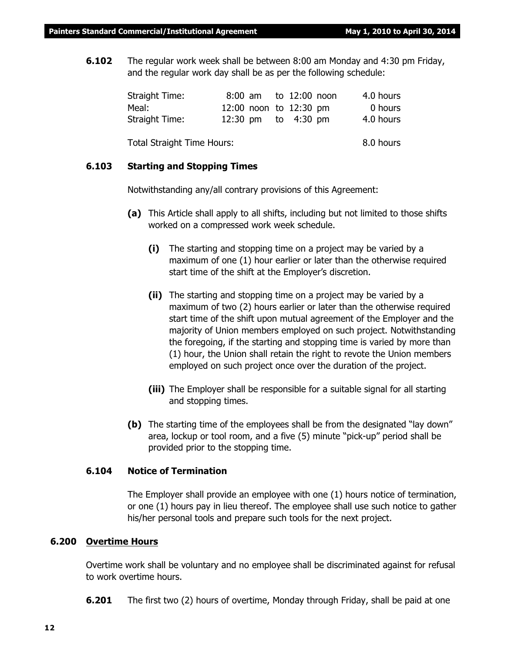**6.102** The regular work week shall be between 8:00 am Monday and 4:30 pm Friday, and the regular work day shall be as per the following schedule:

| Straight Time:                    |  | 8:00 am to 12:00 noon  | 4.0 hours |
|-----------------------------------|--|------------------------|-----------|
| Meal:                             |  | 12:00 noon to 12:30 pm | 0 hours   |
| Straight Time:                    |  | 12:30 pm to 4:30 pm    | 4.0 hours |
|                                   |  |                        |           |
| <b>Total Straight Time Hours:</b> |  |                        | 8.0 hours |

#### **6.103 Starting and Stopping Times**

Notwithstanding any/all contrary provisions of this Agreement:

- **(a)** This Article shall apply to all shifts, including but not limited to those shifts worked on a compressed work week schedule.
	- **(i)** The starting and stopping time on a project may be varied by a maximum of one (1) hour earlier or later than the otherwise required start time of the shift at the Employer's discretion.
	- **(ii)** The starting and stopping time on a project may be varied by a maximum of two (2) hours earlier or later than the otherwise required start time of the shift upon mutual agreement of the Employer and the majority of Union members employed on such project. Notwithstanding the foregoing, if the starting and stopping time is varied by more than (1) hour, the Union shall retain the right to revote the Union members employed on such project once over the duration of the project.
	- **(iii)** The Employer shall be responsible for a suitable signal for all starting and stopping times.
- **(b)** The starting time of the employees shall be from the designated "lay down" area, lockup or tool room, and a five (5) minute "pick-up" period shall be provided prior to the stopping time.

#### **6.104 Notice of Termination**

The Employer shall provide an employee with one (1) hours notice of termination, or one (1) hours pay in lieu thereof. The employee shall use such notice to gather his/her personal tools and prepare such tools for the next project.

#### **6.200 Overtime Hours**

Overtime work shall be voluntary and no employee shall be discriminated against for refusal to work overtime hours.

**6.201** The first two (2) hours of overtime, Monday through Friday, shall be paid at one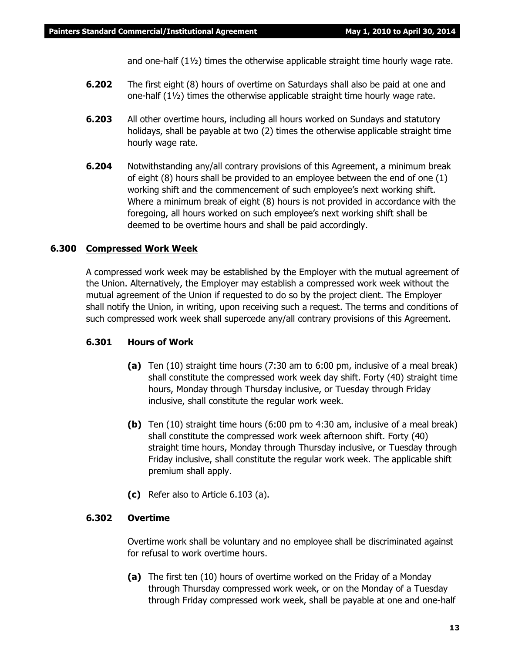and one-half  $(1\frac{1}{2})$  times the otherwise applicable straight time hourly wage rate.

- **6.202** The first eight (8) hours of overtime on Saturdays shall also be paid at one and one-half  $(1\frac{1}{2})$  times the otherwise applicable straight time hourly wage rate.
- **6.203** All other overtime hours, including all hours worked on Sundays and statutory holidays, shall be payable at two (2) times the otherwise applicable straight time hourly wage rate.
- **6.204** Notwithstanding any/all contrary provisions of this Agreement, a minimum break of eight (8) hours shall be provided to an employee between the end of one (1) working shift and the commencement of such employee's next working shift. Where a minimum break of eight (8) hours is not provided in accordance with the foregoing, all hours worked on such employee's next working shift shall be deemed to be overtime hours and shall be paid accordingly.

### **6.300 Compressed Work Week**

A compressed work week may be established by the Employer with the mutual agreement of the Union. Alternatively, the Employer may establish a compressed work week without the mutual agreement of the Union if requested to do so by the project client. The Employer shall notify the Union, in writing, upon receiving such a request. The terms and conditions of such compressed work week shall supercede any/all contrary provisions of this Agreement.

### **6.301 Hours of Work**

- **(a)** Ten (10) straight time hours (7:30 am to 6:00 pm, inclusive of a meal break) shall constitute the compressed work week day shift. Forty (40) straight time hours, Monday through Thursday inclusive, or Tuesday through Friday inclusive, shall constitute the regular work week.
- **(b)** Ten (10) straight time hours (6:00 pm to 4:30 am, inclusive of a meal break) shall constitute the compressed work week afternoon shift. Forty (40) straight time hours, Monday through Thursday inclusive, or Tuesday through Friday inclusive, shall constitute the regular work week. The applicable shift premium shall apply.
- **(c)** Refer also to Article 6.103 (a).

### **6.302 Overtime**

Overtime work shall be voluntary and no employee shall be discriminated against for refusal to work overtime hours.

**(a)** The first ten (10) hours of overtime worked on the Friday of a Monday through Thursday compressed work week, or on the Monday of a Tuesday through Friday compressed work week, shall be payable at one and one-half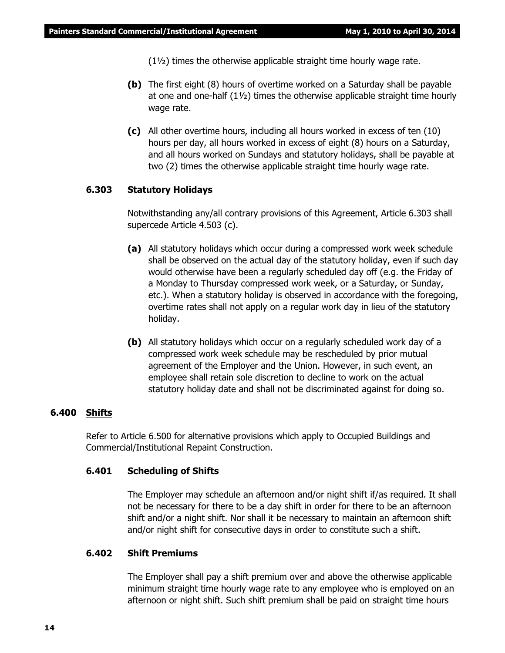(1½) times the otherwise applicable straight time hourly wage rate.

- **(b)** The first eight (8) hours of overtime worked on a Saturday shall be payable at one and one-half  $(1\frac{1}{2})$  times the otherwise applicable straight time hourly wage rate.
- **(c)** All other overtime hours, including all hours worked in excess of ten (10) hours per day, all hours worked in excess of eight (8) hours on a Saturday, and all hours worked on Sundays and statutory holidays, shall be payable at two (2) times the otherwise applicable straight time hourly wage rate.

#### **6.303 Statutory Holidays**

Notwithstanding any/all contrary provisions of this Agreement, Article 6.303 shall supercede Article 4.503 (c).

- **(a)** All statutory holidays which occur during a compressed work week schedule shall be observed on the actual day of the statutory holiday, even if such day would otherwise have been a regularly scheduled day off (e.g. the Friday of a Monday to Thursday compressed work week, or a Saturday, or Sunday, etc.). When a statutory holiday is observed in accordance with the foregoing, overtime rates shall not apply on a regular work day in lieu of the statutory holiday.
- **(b)** All statutory holidays which occur on a regularly scheduled work day of a compressed work week schedule may be rescheduled by prior mutual agreement of the Employer and the Union. However, in such event, an employee shall retain sole discretion to decline to work on the actual statutory holiday date and shall not be discriminated against for doing so.

#### **6.400 Shifts**

Refer to Article 6.500 for alternative provisions which apply to Occupied Buildings and Commercial/Institutional Repaint Construction.

#### **6.401 Scheduling of Shifts**

The Employer may schedule an afternoon and/or night shift if/as required. It shall not be necessary for there to be a day shift in order for there to be an afternoon shift and/or a night shift. Nor shall it be necessary to maintain an afternoon shift and/or night shift for consecutive days in order to constitute such a shift.

#### **6.402 Shift Premiums**

The Employer shall pay a shift premium over and above the otherwise applicable minimum straight time hourly wage rate to any employee who is employed on an afternoon or night shift. Such shift premium shall be paid on straight time hours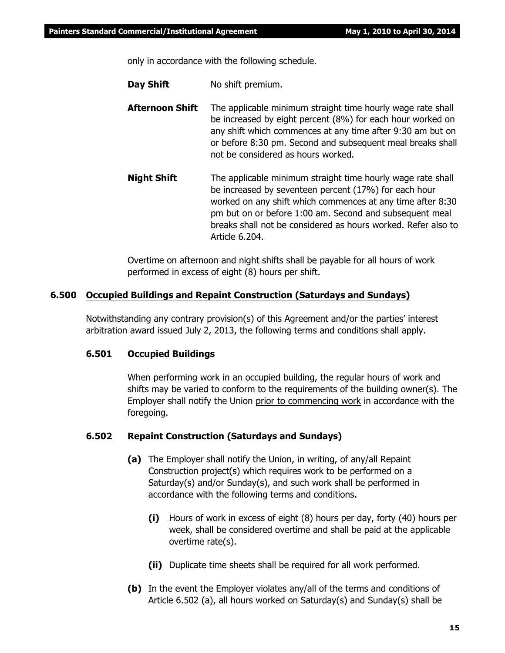only in accordance with the following schedule.

**Day Shift** No shift premium.

- **Afternoon Shift** The applicable minimum straight time hourly wage rate shall be increased by eight percent (8%) for each hour worked on any shift which commences at any time after 9:30 am but on or before 8:30 pm. Second and subsequent meal breaks shall not be considered as hours worked.
- **Night Shift** The applicable minimum straight time hourly wage rate shall be increased by seventeen percent (17%) for each hour worked on any shift which commences at any time after 8:30 pm but on or before 1:00 am. Second and subsequent meal breaks shall not be considered as hours worked. Refer also to Article 6.204.

Overtime on afternoon and night shifts shall be payable for all hours of work performed in excess of eight (8) hours per shift.

#### **6.500 Occupied Buildings and Repaint Construction (Saturdays and Sundays)**

Notwithstanding any contrary provision(s) of this Agreement and/or the parties' interest arbitration award issued July 2, 2013, the following terms and conditions shall apply.

#### **6.501 Occupied Buildings**

When performing work in an occupied building, the regular hours of work and shifts may be varied to conform to the requirements of the building owner(s). The Employer shall notify the Union prior to commencing work in accordance with the foregoing.

#### **6.502 Repaint Construction (Saturdays and Sundays)**

- **(a)** The Employer shall notify the Union, in writing, of any/all Repaint Construction project(s) which requires work to be performed on a Saturday(s) and/or Sunday(s), and such work shall be performed in accordance with the following terms and conditions.
	- **(i)** Hours of work in excess of eight (8) hours per day, forty (40) hours per week, shall be considered overtime and shall be paid at the applicable overtime rate(s).
	- **(ii)** Duplicate time sheets shall be required for all work performed.
- **(b)** In the event the Employer violates any/all of the terms and conditions of Article 6.502 (a), all hours worked on Saturday(s) and Sunday(s) shall be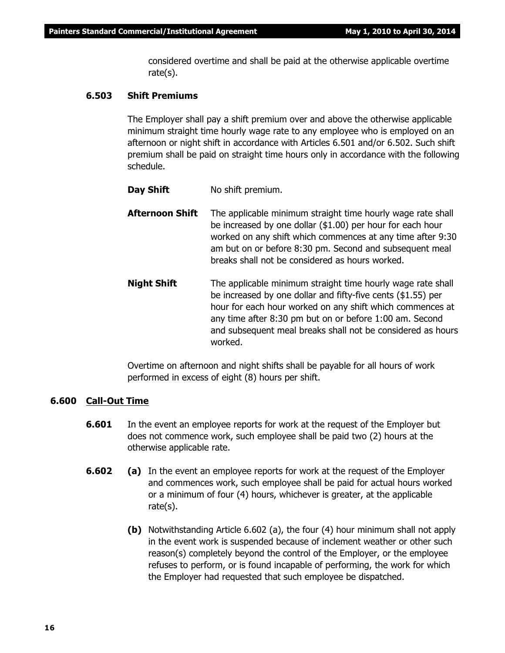considered overtime and shall be paid at the otherwise applicable overtime rate(s).

#### **6.503 Shift Premiums**

The Employer shall pay a shift premium over and above the otherwise applicable minimum straight time hourly wage rate to any employee who is employed on an afternoon or night shift in accordance with Articles 6.501 and/or 6.502. Such shift premium shall be paid on straight time hours only in accordance with the following schedule.

- **Day Shift** No shift premium.
- **Afternoon Shift** The applicable minimum straight time hourly wage rate shall be increased by one dollar (\$1.00) per hour for each hour worked on any shift which commences at any time after 9:30 am but on or before 8:30 pm. Second and subsequent meal breaks shall not be considered as hours worked.
- **Night Shift** The applicable minimum straight time hourly wage rate shall be increased by one dollar and fifty-five cents (\$1.55) per hour for each hour worked on any shift which commences at any time after 8:30 pm but on or before 1:00 am. Second and subsequent meal breaks shall not be considered as hours worked.

Overtime on afternoon and night shifts shall be payable for all hours of work performed in excess of eight (8) hours per shift.

#### **6.600 Call-Out Time**

- **6.601** In the event an employee reports for work at the request of the Employer but does not commence work, such employee shall be paid two (2) hours at the otherwise applicable rate.
- **6.602 (a)** In the event an employee reports for work at the request of the Employer and commences work, such employee shall be paid for actual hours worked or a minimum of four (4) hours, whichever is greater, at the applicable rate(s).
	- **(b)** Notwithstanding Article 6.602 (a), the four (4) hour minimum shall not apply in the event work is suspended because of inclement weather or other such reason(s) completely beyond the control of the Employer, or the employee refuses to perform, or is found incapable of performing, the work for which the Employer had requested that such employee be dispatched.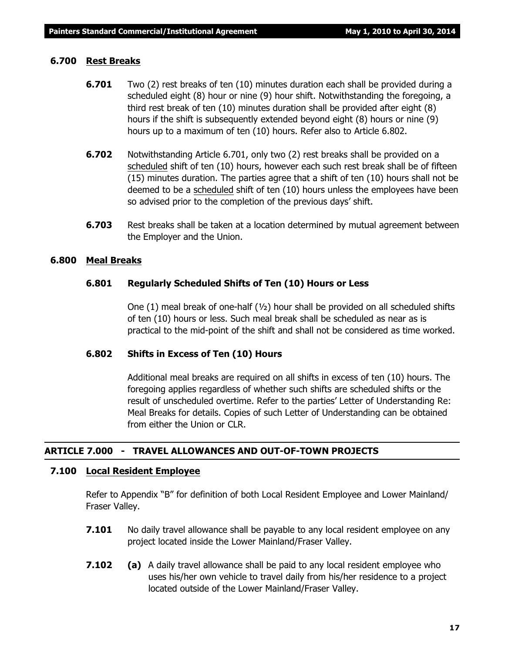#### **6.700 Rest Breaks**

- **6.701** Two (2) rest breaks of ten (10) minutes duration each shall be provided during a scheduled eight (8) hour or nine (9) hour shift. Notwithstanding the foregoing, a third rest break of ten (10) minutes duration shall be provided after eight (8) hours if the shift is subsequently extended beyond eight (8) hours or nine (9) hours up to a maximum of ten (10) hours. Refer also to Article 6.802.
- **6.702** Notwithstanding Article 6.701, only two (2) rest breaks shall be provided on a scheduled shift of ten (10) hours, however each such rest break shall be of fifteen (15) minutes duration. The parties agree that a shift of ten (10) hours shall not be deemed to be a scheduled shift of ten (10) hours unless the employees have been so advised prior to the completion of the previous days' shift.
- **6.703** Rest breaks shall be taken at a location determined by mutual agreement between the Employer and the Union.

#### **6.800 Meal Breaks**

#### **6.801 Regularly Scheduled Shifts of Ten (10) Hours or Less**

One (1) meal break of one-half  $(v_2)$  hour shall be provided on all scheduled shifts of ten (10) hours or less. Such meal break shall be scheduled as near as is practical to the mid-point of the shift and shall not be considered as time worked.

#### **6.802 Shifts in Excess of Ten (10) Hours**

Additional meal breaks are required on all shifts in excess of ten (10) hours. The foregoing applies regardless of whether such shifts are scheduled shifts or the result of unscheduled overtime. Refer to the parties' Letter of Understanding Re: Meal Breaks for details. Copies of such Letter of Understanding can be obtained from either the Union or CLR.

### **ARTICLE 7.000 - TRAVEL ALLOWANCES AND OUT-OF-TOWN PROJECTS**

#### **7.100 Local Resident Employee**

Refer to Appendix "B" for definition of both Local Resident Employee and Lower Mainland/ Fraser Valley.

- **7.101** No daily travel allowance shall be payable to any local resident employee on any project located inside the Lower Mainland/Fraser Valley.
- **7.102 (a)** A daily travel allowance shall be paid to any local resident employee who uses his/her own vehicle to travel daily from his/her residence to a project located outside of the Lower Mainland/Fraser Valley.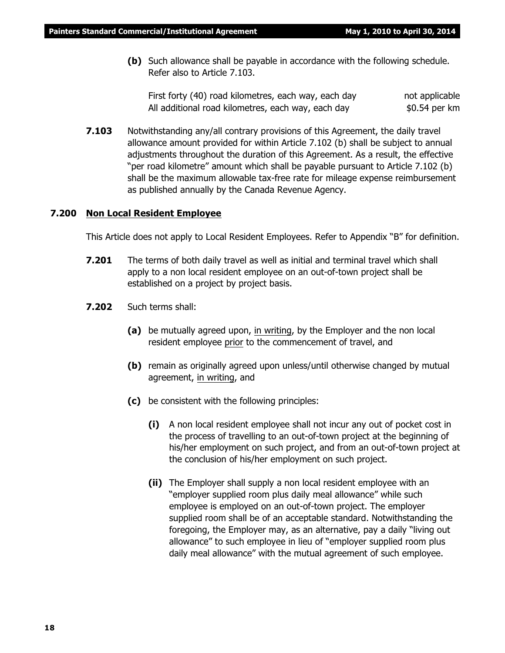**(b)** Such allowance shall be payable in accordance with the following schedule. Refer also to Article 7.103.

First forty (40) road kilometres, each way, each day hot applicable All additional road kilometres, each way, each day  $$0.54$  per km

**7.103** Notwithstanding any/all contrary provisions of this Agreement, the daily travel allowance amount provided for within Article 7.102 (b) shall be subject to annual adjustments throughout the duration of this Agreement. As a result, the effective "per road kilometre" amount which shall be payable pursuant to Article 7.102 (b) shall be the maximum allowable tax-free rate for mileage expense reimbursement as published annually by the Canada Revenue Agency.

#### **7.200 Non Local Resident Employee**

This Article does not apply to Local Resident Employees. Refer to Appendix "B" for definition.

- **7.201** The terms of both daily travel as well as initial and terminal travel which shall apply to a non local resident employee on an out-of-town project shall be established on a project by project basis.
- **7.202** Such terms shall:
	- **(a)** be mutually agreed upon, in writing, by the Employer and the non local resident employee prior to the commencement of travel, and
	- **(b)** remain as originally agreed upon unless/until otherwise changed by mutual agreement, in writing, and
	- **(c)** be consistent with the following principles:
		- **(i)** A non local resident employee shall not incur any out of pocket cost in the process of travelling to an out-of-town project at the beginning of his/her employment on such project, and from an out-of-town project at the conclusion of his/her employment on such project.
		- **(ii)** The Employer shall supply a non local resident employee with an "employer supplied room plus daily meal allowance" while such employee is employed on an out-of-town project. The employer supplied room shall be of an acceptable standard. Notwithstanding the foregoing, the Employer may, as an alternative, pay a daily "living out allowance" to such employee in lieu of "employer supplied room plus daily meal allowance" with the mutual agreement of such employee.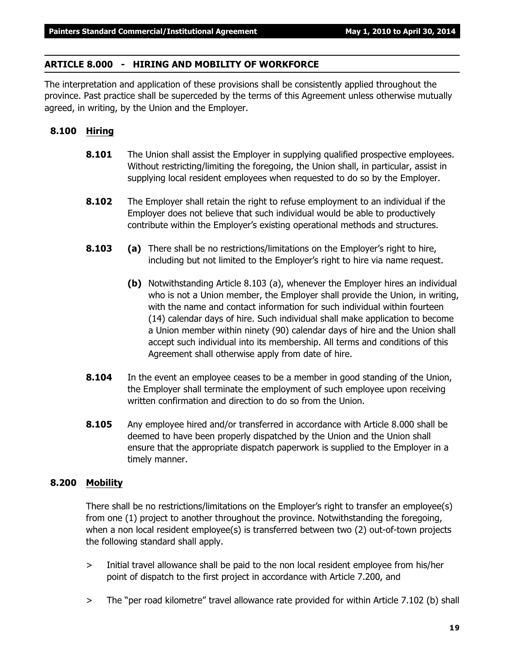#### **ARTICLE 8.000 - HIRING AND MOBILITY OF WORKFORCE**

The interpretation and application of these provisions shall be consistently applied throughout the province. Past practice shall be superceded by the terms of this Agreement unless otherwise mutually agreed, in writing, by the Union and the Employer.

### **8.100 Hiring**

- **8.101** The Union shall assist the Employer in supplying qualified prospective employees. Without restricting/limiting the foregoing, the Union shall, in particular, assist in supplying local resident employees when requested to do so by the Employer.
- **8.102** The Employer shall retain the right to refuse employment to an individual if the Employer does not believe that such individual would be able to productively contribute within the Employer's existing operational methods and structures.
- **8.103 (a)** There shall be no restrictions/limitations on the Employer's right to hire, including but not limited to the Employer's right to hire via name request.
	- **(b)** Notwithstanding Article 8.103 (a), whenever the Employer hires an individual who is not a Union member, the Employer shall provide the Union, in writing, with the name and contact information for such individual within fourteen (14) calendar days of hire. Such individual shall make application to become a Union member within ninety (90) calendar days of hire and the Union shall accept such individual into its membership. All terms and conditions of this Agreement shall otherwise apply from date of hire.
- **8.104** In the event an employee ceases to be a member in good standing of the Union, the Employer shall terminate the employment of such employee upon receiving written confirmation and direction to do so from the Union.
- **8.105** Any employee hired and/or transferred in accordance with Article 8.000 shall be deemed to have been properly dispatched by the Union and the Union shall ensure that the appropriate dispatch paperwork is supplied to the Employer in a timely manner.

### **8.200 Mobility**

There shall be no restrictions/limitations on the Employer's right to transfer an employee(s) from one (1) project to another throughout the province. Notwithstanding the foregoing, when a non local resident employee(s) is transferred between two (2) out-of-town projects the following standard shall apply.

- > Initial travel allowance shall be paid to the non local resident employee from his/her point of dispatch to the first project in accordance with Article 7.200, and
- > The "per road kilometre" travel allowance rate provided for within Article 7.102 (b) shall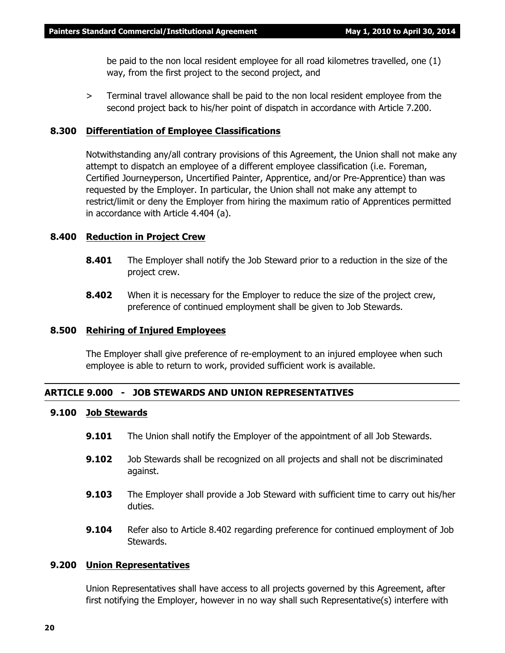be paid to the non local resident employee for all road kilometres travelled, one (1) way, from the first project to the second project, and

> Terminal travel allowance shall be paid to the non local resident employee from the second project back to his/her point of dispatch in accordance with Article 7.200.

#### **8.300 Differentiation of Employee Classifications**

Notwithstanding any/all contrary provisions of this Agreement, the Union shall not make any attempt to dispatch an employee of a different employee classification (i.e. Foreman, Certified Journeyperson, Uncertified Painter, Apprentice, and/or Pre-Apprentice) than was requested by the Employer. In particular, the Union shall not make any attempt to restrict/limit or deny the Employer from hiring the maximum ratio of Apprentices permitted in accordance with Article 4.404 (a).

#### **8.400 Reduction in Project Crew**

- **8.401** The Employer shall notify the Job Steward prior to a reduction in the size of the project crew.
- **8.402** When it is necessary for the Employer to reduce the size of the project crew, preference of continued employment shall be given to Job Stewards.

#### **8.500 Rehiring of Injured Employees**

The Employer shall give preference of re-employment to an injured employee when such employee is able to return to work, provided sufficient work is available.

#### **ARTICLE 9.000 - JOB STEWARDS AND UNION REPRESENTATIVES**

#### **9.100 Job Stewards**

- **9.101** The Union shall notify the Employer of the appointment of all Job Stewards.
- **9.102** Job Stewards shall be recognized on all projects and shall not be discriminated against.
- **9.103** The Employer shall provide a Job Steward with sufficient time to carry out his/her duties.
- **9.104** Refer also to Article 8.402 regarding preference for continued employment of Job Stewards.

#### **9.200 Union Representatives**

Union Representatives shall have access to all projects governed by this Agreement, after first notifying the Employer, however in no way shall such Representative(s) interfere with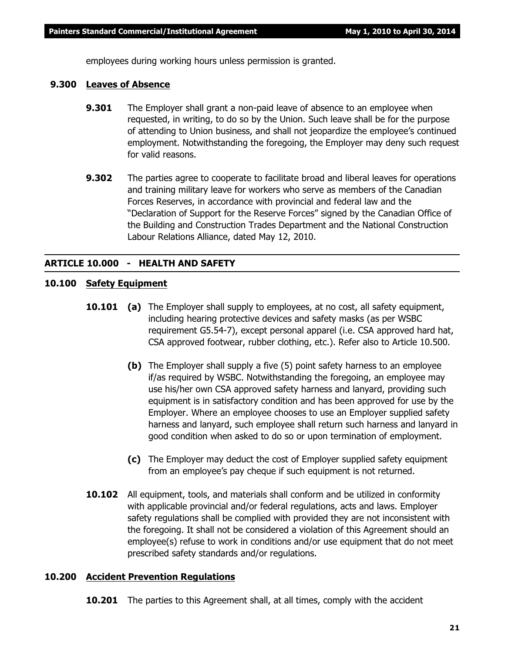employees during working hours unless permission is granted.

#### **9.300 Leaves of Absence**

- **9.301** The Employer shall grant a non-paid leave of absence to an employee when requested, in writing, to do so by the Union. Such leave shall be for the purpose of attending to Union business, and shall not jeopardize the employee's continued employment. Notwithstanding the foregoing, the Employer may deny such request for valid reasons.
- **9.302** The parties agree to cooperate to facilitate broad and liberal leaves for operations and training military leave for workers who serve as members of the Canadian Forces Reserves, in accordance with provincial and federal law and the "Declaration of Support for the Reserve Forces" signed by the Canadian Office of the Building and Construction Trades Department and the National Construction Labour Relations Alliance, dated May 12, 2010.

#### **ARTICLE 10.000 - HEALTH AND SAFETY**

### **10.100 Safety Equipment**

- **10.101 (a)** The Employer shall supply to employees, at no cost, all safety equipment, including hearing protective devices and safety masks (as per WSBC requirement G5.54-7), except personal apparel (i.e. CSA approved hard hat, CSA approved footwear, rubber clothing, etc.). Refer also to Article 10.500.
	- **(b)** The Employer shall supply a five (5) point safety harness to an employee if/as required by WSBC. Notwithstanding the foregoing, an employee may use his/her own CSA approved safety harness and lanyard, providing such equipment is in satisfactory condition and has been approved for use by the Employer. Where an employee chooses to use an Employer supplied safety harness and lanyard, such employee shall return such harness and lanyard in good condition when asked to do so or upon termination of employment.
	- **(c)** The Employer may deduct the cost of Employer supplied safety equipment from an employee's pay cheque if such equipment is not returned.
- **10.102** All equipment, tools, and materials shall conform and be utilized in conformity with applicable provincial and/or federal regulations, acts and laws. Employer safety regulations shall be complied with provided they are not inconsistent with the foregoing. It shall not be considered a violation of this Agreement should an employee(s) refuse to work in conditions and/or use equipment that do not meet prescribed safety standards and/or regulations.

#### **10.200 Accident Prevention Regulations**

**10.201** The parties to this Agreement shall, at all times, comply with the accident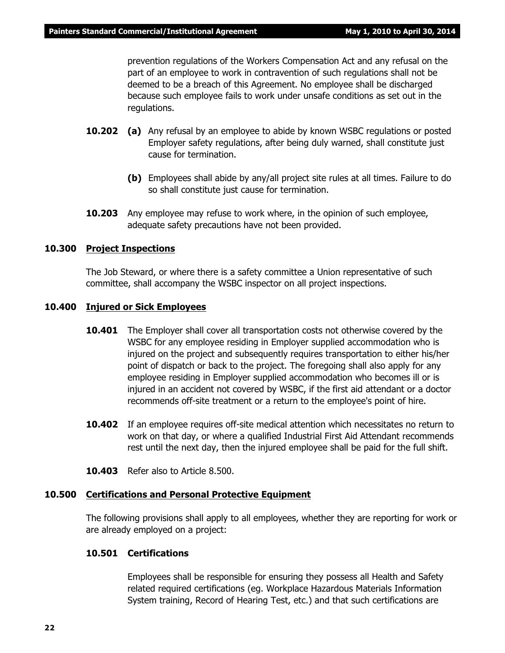prevention regulations of the *Workers Compensation Act* and any refusal on the part of an employee to work in contravention of such regulations shall not be deemed to be a breach of this Agreement. No employee shall be discharged because such employee fails to work under unsafe conditions as set out in the regulations.

- **10.202 (a)** Any refusal by an employee to abide by known WSBC regulations or posted Employer safety regulations, after being duly warned, shall constitute just cause for termination.
	- **(b)** Employees shall abide by any/all project site rules at all times. Failure to do so shall constitute just cause for termination.
- **10.203** Any employee may refuse to work where, in the opinion of such employee, adequate safety precautions have not been provided.

#### **10.300 Project Inspections**

The Job Steward, or where there is a safety committee a Union representative of such committee, shall accompany the WSBC inspector on all project inspections.

#### **10.400 Injured or Sick Employees**

- **10.401** The Employer shall cover all transportation costs not otherwise covered by the WSBC for any employee residing in Employer supplied accommodation who is injured on the project and subsequently requires transportation to either his/her point of dispatch or back to the project. The foregoing shall also apply for any employee residing in Employer supplied accommodation who becomes ill or is injured in an accident not covered by WSBC, if the first aid attendant or a doctor recommends off-site treatment or a return to the employee's point of hire.
- **10.402** If an employee requires off-site medical attention which necessitates no return to work on that day, or where a qualified Industrial First Aid Attendant recommends rest until the next day, then the injured employee shall be paid for the full shift.
- **10.403** Refer also to Article 8.500.

# **10.500 Certifications and Personal Protective Equipment**

The following provisions shall apply to all employees, whether they are reporting for work or are already employed on a project:

# **10.501 Certifications**

Employees shall be responsible for ensuring they possess all Health and Safety related required certifications (eg. Workplace Hazardous Materials Information System training, Record of Hearing Test, etc.) and that such certifications are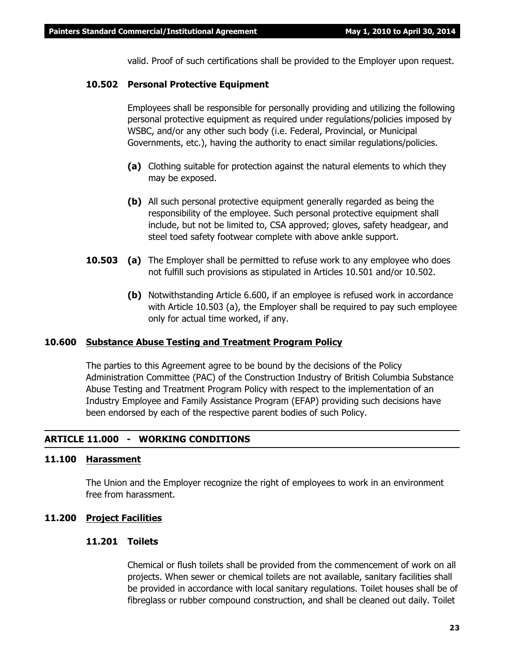valid. Proof of such certifications shall be provided to the Employer upon request.

#### **10.502 Personal Protective Equipment**

Employees shall be responsible for personally providing and utilizing the following personal protective equipment as required under regulations/policies imposed by WSBC, and/or any other such body (i.e. Federal, Provincial, or Municipal Governments, etc.), having the authority to enact similar regulations/policies.

- **(a)** Clothing suitable for protection against the natural elements to which they may be exposed.
- **(b)** All such personal protective equipment generally regarded as being the responsibility of the employee. Such personal protective equipment shall include, but not be limited to, CSA approved; gloves, safety headgear, and steel toed safety footwear complete with above ankle support.
- **10.503 (a)** The Employer shall be permitted to refuse work to any employee who does not fulfill such provisions as stipulated in Articles 10.501 and/or 10.502.
	- **(b)** Notwithstanding Article 6.600, if an employee is refused work in accordance with Article 10.503 (a), the Employer shall be required to pay such employee only for actual time worked, if any.

#### **10.600 Substance Abuse Testing and Treatment Program Policy**

The parties to this Agreement agree to be bound by the decisions of the Policy Administration Committee (PAC) of the Construction Industry of British Columbia Substance Abuse Testing and Treatment Program Policy with respect to the implementation of an Industry Employee and Family Assistance Program (EFAP) providing such decisions have been endorsed by each of the respective parent bodies of such Policy.

#### **ARTICLE 11.000 - WORKING CONDITIONS**

#### **11.100 Harassment**

The Union and the Employer recognize the right of employees to work in an environment free from harassment.

#### **11.200 Project Facilities**

#### **11.201 Toilets**

Chemical or flush toilets shall be provided from the commencement of work on all projects. When sewer or chemical toilets are not available, sanitary facilities shall be provided in accordance with local sanitary regulations. Toilet houses shall be of fibreglass or rubber compound construction, and shall be cleaned out daily. Toilet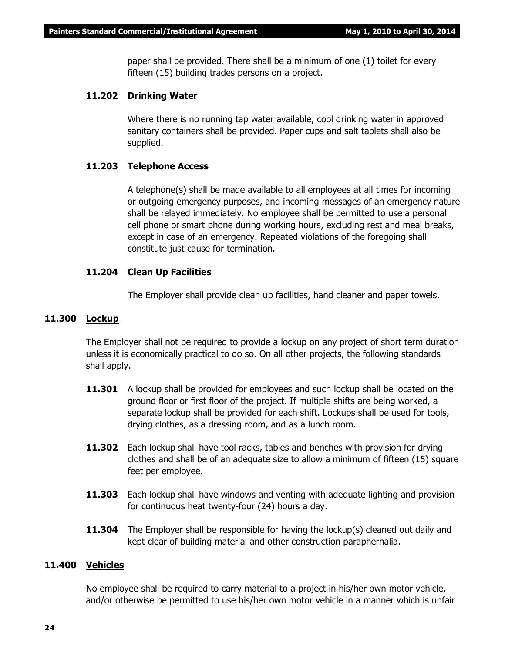paper shall be provided. There shall be a minimum of one (1) toilet for every fifteen (15) building trades persons on a project.

#### **11.202 Drinking Water**

Where there is no running tap water available, cool drinking water in approved sanitary containers shall be provided. Paper cups and salt tablets shall also be supplied.

#### **11.203 Telephone Access**

A telephone(s) shall be made available to all employees at all times for incoming or outgoing emergency purposes, and incoming messages of an emergency nature shall be relayed immediately. No employee shall be permitted to use a personal cell phone or smart phone during working hours, excluding rest and meal breaks, except in case of an emergency. Repeated violations of the foregoing shall constitute just cause for termination.

#### **11.204 Clean Up Facilities**

The Employer shall provide clean up facilities, hand cleaner and paper towels.

#### **11.300 Lockup**

The Employer shall not be required to provide a lockup on any project of short term duration unless it is economically practical to do so. On all other projects, the following standards shall apply.

- **11.301** A lockup shall be provided for employees and such lockup shall be located on the ground floor or first floor of the project. If multiple shifts are being worked, a separate lockup shall be provided for each shift. Lockups shall be used for tools, drying clothes, as a dressing room, and as a lunch room.
- **11.302** Each lockup shall have tool racks, tables and benches with provision for drying clothes and shall be of an adequate size to allow a minimum of fifteen (15) square feet per employee.
- **11.303** Each lockup shall have windows and venting with adequate lighting and provision for continuous heat twenty-four (24) hours a day.
- **11.304** The Employer shall be responsible for having the lockup(s) cleaned out daily and kept clear of building material and other construction paraphernalia.

#### **11.400 Vehicles**

No employee shall be required to carry material to a project in his/her own motor vehicle, and/or otherwise be permitted to use his/her own motor vehicle in a manner which is unfair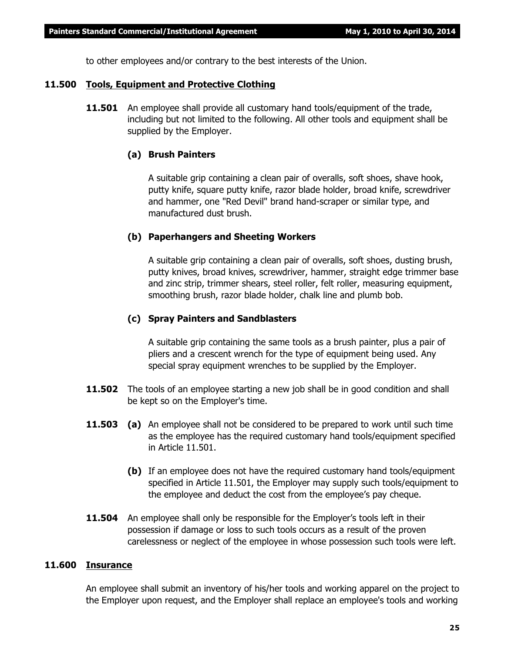to other employees and/or contrary to the best interests of the Union.

#### **11.500 Tools, Equipment and Protective Clothing**

**11.501** An employee shall provide all customary hand tools/equipment of the trade, including but not limited to the following. All other tools and equipment shall be supplied by the Employer.

#### **(a) Brush Painters**

A suitable grip containing a clean pair of overalls, soft shoes, shave hook, putty knife, square putty knife, razor blade holder, broad knife, screwdriver and hammer, one "Red Devil" brand hand-scraper or similar type, and manufactured dust brush.

#### **(b) Paperhangers and Sheeting Workers**

A suitable grip containing a clean pair of overalls, soft shoes, dusting brush, putty knives, broad knives, screwdriver, hammer, straight edge trimmer base and zinc strip, trimmer shears, steel roller, felt roller, measuring equipment, smoothing brush, razor blade holder, chalk line and plumb bob.

#### **(c) Spray Painters and Sandblasters**

A suitable grip containing the same tools as a brush painter, plus a pair of pliers and a crescent wrench for the type of equipment being used. Any special spray equipment wrenches to be supplied by the Employer.

- **11.502** The tools of an employee starting a new job shall be in good condition and shall be kept so on the Employer's time.
- **11.503 (a)** An employee shall not be considered to be prepared to work until such time as the employee has the required customary hand tools/equipment specified in Article 11.501.
	- **(b)** If an employee does not have the required customary hand tools/equipment specified in Article 11.501, the Employer may supply such tools/equipment to the employee and deduct the cost from the employee's pay cheque.
- **11.504** An employee shall only be responsible for the Employer's tools left in their possession if damage or loss to such tools occurs as a result of the proven carelessness or neglect of the employee in whose possession such tools were left.

#### **11.600 Insurance**

An employee shall submit an inventory of his/her tools and working apparel on the project to the Employer upon request, and the Employer shall replace an employee's tools and working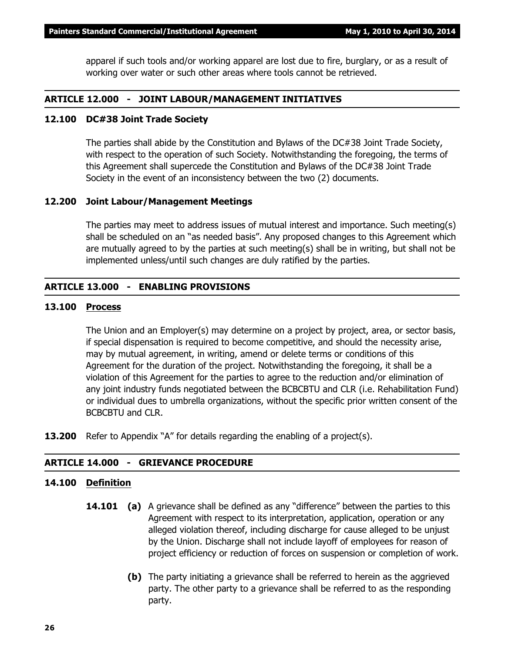apparel if such tools and/or working apparel are lost due to fire, burglary, or as a result of working over water or such other areas where tools cannot be retrieved.

#### **ARTICLE 12.000 - JOINT LABOUR/MANAGEMENT INITIATIVES**

#### **12.100 DC#38 Joint Trade Society**

The parties shall abide by the Constitution and Bylaws of the DC#38 Joint Trade Society, with respect to the operation of such Society. Notwithstanding the foregoing, the terms of this Agreement shall supercede the Constitution and Bylaws of the DC#38 Joint Trade Society in the event of an inconsistency between the two (2) documents.

#### **12.200 Joint Labour/Management Meetings**

The parties may meet to address issues of mutual interest and importance. Such meeting(s) shall be scheduled on an "as needed basis". Any proposed changes to this Agreement which are mutually agreed to by the parties at such meeting(s) shall be in writing, but shall not be implemented unless/until such changes are duly ratified by the parties.

#### **ARTICLE 13.000 - ENABLING PROVISIONS**

#### **13.100 Process**

The Union and an Employer(s) may determine on a project by project, area, or sector basis, if special dispensation is required to become competitive, and should the necessity arise, may by mutual agreement, in writing, amend or delete terms or conditions of this Agreement for the duration of the project. Notwithstanding the foregoing, it shall be a violation of this Agreement for the parties to agree to the reduction and/or elimination of any joint industry funds negotiated between the BCBCBTU and CLR (i.e. Rehabilitation Fund) or individual dues to umbrella organizations, without the specific prior written consent of the BCBCBTU and CLR.

**13.200** Refer to Appendix "A" for details regarding the enabling of a project(s).

#### **ARTICLE 14.000 - GRIEVANCE PROCEDURE**

#### **14.100 Definition**

- **14.101 (a)** A grievance shall be defined as any "difference" between the parties to this Agreement with respect to its interpretation, application, operation or any alleged violation thereof, including discharge for cause alleged to be unjust by the Union. Discharge shall not include layoff of employees for reason of project efficiency or reduction of forces on suspension or completion of work.
	- **(b)** The party initiating a grievance shall be referred to herein as the aggrieved party. The other party to a grievance shall be referred to as the responding party.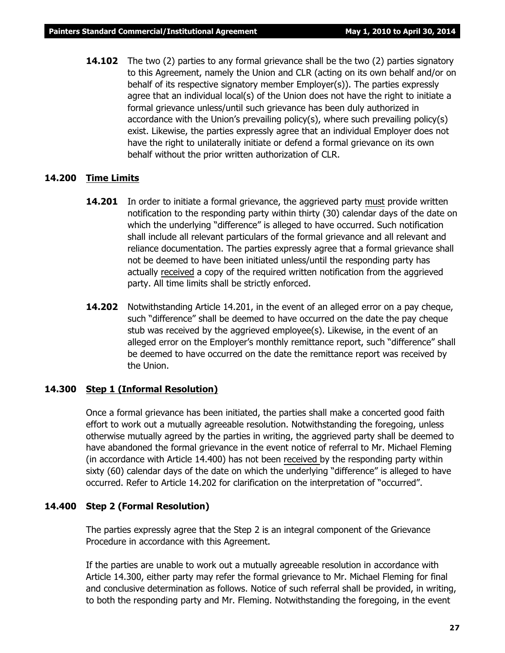**14.102** The two (2) parties to any formal grievance shall be the two (2) parties signatory to this Agreement, namely the Union and CLR (acting on its own behalf and/or on behalf of its respective signatory member Employer(s)). The parties expressly agree that an individual local(s) of the Union does not have the right to initiate a formal grievance unless/until such grievance has been duly authorized in accordance with the Union's prevailing policy(s), where such prevailing policy(s) exist. Likewise, the parties expressly agree that an individual Employer does not have the right to unilaterally initiate or defend a formal grievance on its own behalf without the prior written authorization of CLR.

#### **14.200 Time Limits**

- **14.201** In order to initiate a formal grievance, the aggrieved party must provide written notification to the responding party within thirty (30) calendar days of the date on which the underlying "difference" is alleged to have occurred. Such notification shall include all relevant particulars of the formal grievance and all relevant and reliance documentation. The parties expressly agree that a formal grievance shall not be deemed to have been initiated unless/until the responding party has actually received a copy of the required written notification from the aggrieved party. All time limits shall be strictly enforced.
- **14.202** Notwithstanding Article 14.201, in the event of an alleged error on a pay cheque, such "difference" shall be deemed to have occurred on the date the pay cheque stub was received by the aggrieved employee(s). Likewise, in the event of an alleged error on the Employer's monthly remittance report, such "difference" shall be deemed to have occurred on the date the remittance report was received by the Union.

#### **14.300 Step 1 (Informal Resolution)**

Once a formal grievance has been initiated, the parties shall make a concerted good faith effort to work out a mutually agreeable resolution. Notwithstanding the foregoing, unless otherwise mutually agreed by the parties in writing, the aggrieved party shall be deemed to have abandoned the formal grievance in the event notice of referral to Mr. Michael Fleming (in accordance with Article 14.400) has not been received by the responding party within sixty (60) calendar days of the date on which the underlying "difference" is alleged to have occurred. Refer to Article 14.202 for clarification on the interpretation of "occurred".

### **14.400 Step 2 (Formal Resolution)**

The parties expressly agree that the Step 2 is an integral component of the Grievance Procedure in accordance with this Agreement.

If the parties are unable to work out a mutually agreeable resolution in accordance with Article 14.300, either party may refer the formal grievance to Mr. Michael Fleming for final and conclusive determination as follows. Notice of such referral shall be provided, in writing, to both the responding party and Mr. Fleming. Notwithstanding the foregoing, in the event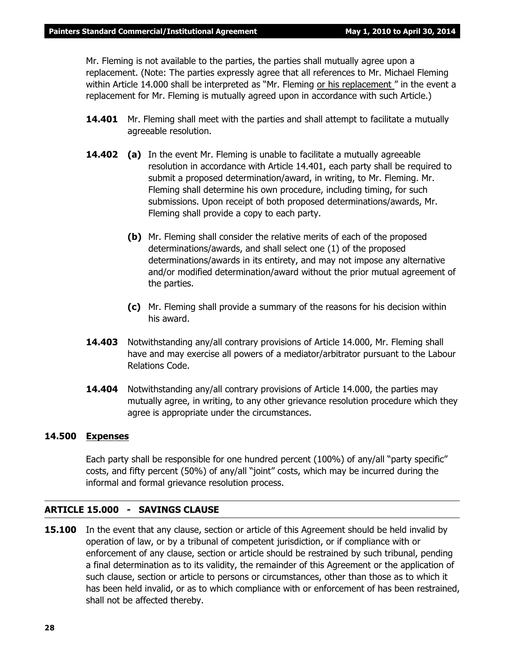Mr. Fleming is not available to the parties, the parties shall mutually agree upon a replacement. (Note: The parties expressly agree that all references to Mr. Michael Fleming within Article 14.000 shall be interpreted as *"Mr. Fleming or his replacement "* in the event a replacement for Mr. Fleming is mutually agreed upon in accordance with such Article.)

- **14.401** Mr. Fleming shall meet with the parties and shall attempt to facilitate a mutually agreeable resolution.
- **14.402 (a)** In the event Mr. Fleming is unable to facilitate a mutually agreeable resolution in accordance with Article 14.401, each party shall be required to submit a proposed determination/award, in writing, to Mr. Fleming. Mr. Fleming shall determine his own procedure, including timing, for such submissions. Upon receipt of both proposed determinations/awards, Mr. Fleming shall provide a copy to each party.
	- **(b)** Mr. Fleming shall consider the relative merits of each of the proposed determinations/awards, and shall select one (1) of the proposed determinations/awards in its entirety, and may not impose any alternative and/or modified determination/award without the prior mutual agreement of the parties.
	- **(c)** Mr. Fleming shall provide a summary of the reasons for his decision within his award.
- **14.403** Notwithstanding any/all contrary provisions of Article 14.000, Mr. Fleming shall have and may exercise all powers of a mediator/arbitrator pursuant to the *Labour Relations Code.*
- **14.404** Notwithstanding any/all contrary provisions of Article 14.000, the parties may mutually agree, in writing, to any other grievance resolution procedure which they agree is appropriate under the circumstances.

#### **14.500 Expenses**

Each party shall be responsible for one hundred percent (100%) of any/all "party specific" costs, and fifty percent (50%) of any/all "joint" costs, which may be incurred during the informal and formal grievance resolution process.

#### **ARTICLE 15.000 - SAVINGS CLAUSE**

**15.100** In the event that any clause, section or article of this Agreement should be held invalid by operation of law, or by a tribunal of competent jurisdiction, or if compliance with or enforcement of any clause, section or article should be restrained by such tribunal, pending a final determination as to its validity, the remainder of this Agreement or the application of such clause, section or article to persons or circumstances, other than those as to which it has been held invalid, or as to which compliance with or enforcement of has been restrained, shall not be affected thereby.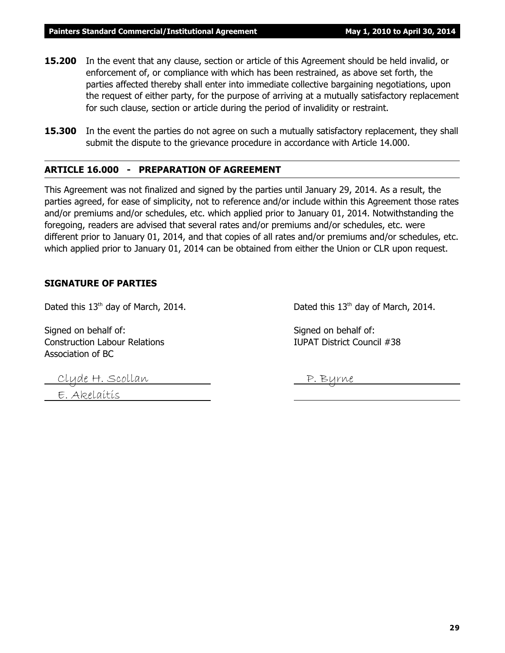- **15.200** In the event that any clause, section or article of this Agreement should be held invalid, or enforcement of, or compliance with which has been restrained, as above set forth, the parties affected thereby shall enter into immediate collective bargaining negotiations, upon the request of either party, for the purpose of arriving at a mutually satisfactory replacement for such clause, section or article during the period of invalidity or restraint.
- **15.300** In the event the parties do not agree on such a mutually satisfactory replacement, they shall submit the dispute to the grievance procedure in accordance with Article 14.000.

#### **ARTICLE 16.000 - PREPARATION OF AGREEMENT**

This Agreement was not finalized and signed by the parties until January 29, 2014. As a result, the parties agreed, for ease of simplicity, not to reference and/or include within this Agreement those rates and/or premiums and/or schedules, etc. which applied prior to January 01, 2014. Notwithstanding the foregoing, readers are advised that several rates and/or premiums and/or schedules, etc. were different prior to January 01, 2014, and that copies of all rates and/or premiums and/or schedules, etc. which applied prior to January 01, 2014 can be obtained from either the Union or CLR upon request.

#### **SIGNATURE OF PARTIES**

Dated this  $13<sup>th</sup>$  day of March, 2014. Dated this  $13<sup>th</sup>$  day of March, 2014.

Signed on behalf of: Signed on behalf of: Construction Labour Relations IUPAT District Council #38 Association of BC

Clyde H. Scollan P. Byrne

E. Akelaitis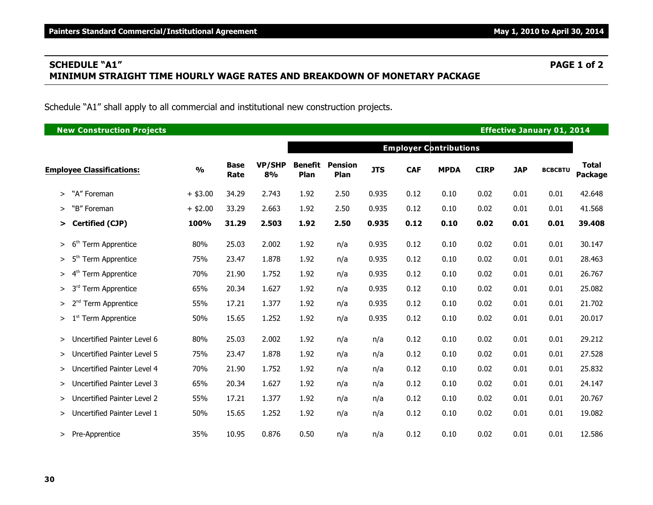# **SCHEDULE "A1" PAGE 1 of 2 MINIMUM STRAIGHT TIME HOURLY WAGE RATES AND BREAKDOWN OF MONETARY PACKAGE**

Schedule "A1" shall apply to all commercial and institutional new construction projects.

| <b>New Construction Projects</b>        | <b>Effective January 01, 2014</b> |                     |                     |                                                                                                                                                                                                                                                                                                                                                                                                                                                                                                                                                                                                                                                                                                                                                                                                                                                                                                                                                                    |     |     |      |      |      |      |                |                                |  |  |
|-----------------------------------------|-----------------------------------|---------------------|---------------------|--------------------------------------------------------------------------------------------------------------------------------------------------------------------------------------------------------------------------------------------------------------------------------------------------------------------------------------------------------------------------------------------------------------------------------------------------------------------------------------------------------------------------------------------------------------------------------------------------------------------------------------------------------------------------------------------------------------------------------------------------------------------------------------------------------------------------------------------------------------------------------------------------------------------------------------------------------------------|-----|-----|------|------|------|------|----------------|--------------------------------|--|--|
|                                         |                                   |                     |                     | <b>Employer Contributions</b><br><b>Benefit</b><br><b>Pension</b><br><b>JTS</b><br><b>CAF</b><br><b>MPDA</b><br><b>CIRP</b><br><b>JAP</b><br>Plan<br>Plan<br>1.92<br>2.50<br>0.935<br>0.12<br>0.10<br>0.02<br>0.01<br>1.92<br>2.50<br>0.935<br>0.12<br>0.10<br>0.02<br>0.01<br>1.92<br>2.50<br>0.935<br>0.10<br>0.02<br>0.12<br>0.01<br>0.935<br>0.10<br>0.02<br>1.92<br>0.12<br>0.01<br>n/a<br>1.92<br>0.935<br>0.12<br>0.02<br>0.10<br>0.01<br>n/a<br>0.935<br>1.92<br>0.12<br>0.10<br>0.02<br>0.01<br>n/a<br>1.92<br>0.935<br>0.12<br>0.01<br>0.10<br>0.02<br>n/a<br>1.92<br>0.935<br>0.12<br>0.01<br>0.10<br>0.02<br>n/a<br>1.92<br>0.935<br>0.12<br>0.10<br>0.02<br>0.01<br>n/a<br>0.12<br>1.92<br>0.10<br>0.02<br>0.01<br>n/a<br>n/a<br>1.92<br>0.12<br>0.02<br>0.01<br>0.10<br>n/a<br>n/a<br>0.12<br>0.01<br>1.92<br>0.10<br>0.02<br>n/a<br>n/a<br>0.12<br>0.10<br>0.02<br>0.01<br>1.92<br>n/a<br>n/a<br>1.92<br>0.12<br>0.10<br>0.02<br>0.01<br>n/a<br>n/a |     |     |      |      |      |      |                |                                |  |  |
| <b>Employee Classifications:</b>        | $\frac{0}{0}$                     | <b>Base</b><br>Rate | <b>VP/SHP</b><br>8% |                                                                                                                                                                                                                                                                                                                                                                                                                                                                                                                                                                                                                                                                                                                                                                                                                                                                                                                                                                    |     |     |      |      |      |      | <b>BCBCBTU</b> | <b>Total</b><br><b>Package</b> |  |  |
| "A" Foreman<br>$\geq$                   | $+$ \$3.00                        | 34.29               | 2.743               |                                                                                                                                                                                                                                                                                                                                                                                                                                                                                                                                                                                                                                                                                                                                                                                                                                                                                                                                                                    |     |     |      |      |      |      | 0.01           | 42.648                         |  |  |
| "B" Foreman<br>➤                        | $+$ \$2.00                        | 33.29               | 2.663               |                                                                                                                                                                                                                                                                                                                                                                                                                                                                                                                                                                                                                                                                                                                                                                                                                                                                                                                                                                    |     |     |      |      |      |      | 0.01           | 41.568                         |  |  |
| Certified (CJP)<br>>                    | 100%                              | 31.29               | 2.503               |                                                                                                                                                                                                                                                                                                                                                                                                                                                                                                                                                                                                                                                                                                                                                                                                                                                                                                                                                                    |     |     |      |      |      |      | 0.01           | 39.408                         |  |  |
| 6 <sup>th</sup><br>Term Apprentice<br>> | 80%                               | 25.03               | 2.002               |                                                                                                                                                                                                                                                                                                                                                                                                                                                                                                                                                                                                                                                                                                                                                                                                                                                                                                                                                                    |     |     |      |      |      |      | 0.01           | 30.147                         |  |  |
| 5 <sup>th</sup><br>Term Apprentice<br>> | 75%                               | 23.47               | 1.878               |                                                                                                                                                                                                                                                                                                                                                                                                                                                                                                                                                                                                                                                                                                                                                                                                                                                                                                                                                                    |     |     |      |      |      |      | 0.01           | 28.463                         |  |  |
| $4^{\text{th}}$<br>Term Apprentice<br>> | 70%                               | 21.90               | 1.752               |                                                                                                                                                                                                                                                                                                                                                                                                                                                                                                                                                                                                                                                                                                                                                                                                                                                                                                                                                                    |     |     |      |      |      |      | 0.01           | 26.767                         |  |  |
| 3 <sup>rd</sup><br>Term Apprentice<br>> | 65%                               | 20.34               | 1.627               |                                                                                                                                                                                                                                                                                                                                                                                                                                                                                                                                                                                                                                                                                                                                                                                                                                                                                                                                                                    |     |     |      |      |      |      | 0.01           | 25.082                         |  |  |
| <b>Term Apprentice</b><br>>             | 55%                               | 17.21               | 1.377               |                                                                                                                                                                                                                                                                                                                                                                                                                                                                                                                                                                                                                                                                                                                                                                                                                                                                                                                                                                    |     |     |      |      |      |      | 0.01           | 21.702                         |  |  |
| 1 <sup>st</sup> Term Apprentice<br>>    | 50%                               | 15.65               | 1.252               |                                                                                                                                                                                                                                                                                                                                                                                                                                                                                                                                                                                                                                                                                                                                                                                                                                                                                                                                                                    |     |     |      |      |      |      | 0.01           | 20.017                         |  |  |
| Uncertified Painter Level 6<br>>        | 80%                               | 25.03               | 2.002               |                                                                                                                                                                                                                                                                                                                                                                                                                                                                                                                                                                                                                                                                                                                                                                                                                                                                                                                                                                    |     |     |      |      |      |      | 0.01           | 29.212                         |  |  |
| Uncertified Painter Level 5<br>>        | 75%                               | 23.47               | 1.878               |                                                                                                                                                                                                                                                                                                                                                                                                                                                                                                                                                                                                                                                                                                                                                                                                                                                                                                                                                                    |     |     |      |      |      |      | 0.01           | 27.528                         |  |  |
| Uncertified Painter Level 4<br>⋗        | 70%                               | 21.90               | 1.752               |                                                                                                                                                                                                                                                                                                                                                                                                                                                                                                                                                                                                                                                                                                                                                                                                                                                                                                                                                                    |     |     |      |      |      |      | 0.01           | 25.832                         |  |  |
| Uncertified Painter Level 3<br>>        | 65%                               | 20.34               | 1.627               |                                                                                                                                                                                                                                                                                                                                                                                                                                                                                                                                                                                                                                                                                                                                                                                                                                                                                                                                                                    |     |     |      |      |      |      | 0.01           | 24.147                         |  |  |
| Uncertified Painter Level 2<br>⋗        | 55%                               | 17.21               | 1.377               |                                                                                                                                                                                                                                                                                                                                                                                                                                                                                                                                                                                                                                                                                                                                                                                                                                                                                                                                                                    |     |     |      |      |      |      | 0.01           | 20.767                         |  |  |
| Uncertified Painter Level 1<br>≻        | 50%                               | 15.65               | 1.252               | 1.92                                                                                                                                                                                                                                                                                                                                                                                                                                                                                                                                                                                                                                                                                                                                                                                                                                                                                                                                                               | n/a | n/a | 0.12 | 0.10 | 0.02 | 0.01 | 0.01           | 19.082                         |  |  |
| Pre-Apprentice<br>≻                     | 35%                               | 10.95               | 0.876               | 0.50                                                                                                                                                                                                                                                                                                                                                                                                                                                                                                                                                                                                                                                                                                                                                                                                                                                                                                                                                               | n/a | n/a | 0.12 | 0.10 | 0.02 | 0.01 | 0.01           | 12.586                         |  |  |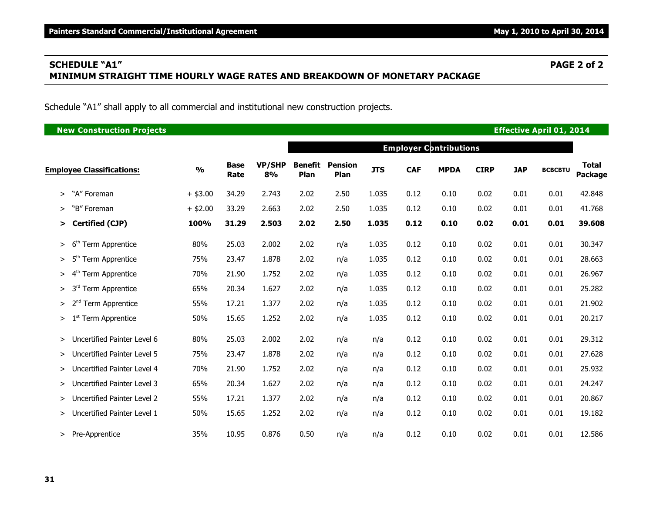# **SCHEDULE "A1" PAGE 2 of 2 MINIMUM STRAIGHT TIME HOURLY WAGE RATES AND BREAKDOWN OF MONETARY PACKAGE**

Schedule "A1" shall apply to all commercial and institutional new construction projects.

| <b>New Construction Projects</b>             |               |                     |                     |                        |                        |            |            |                               |             |            | <b>Effective April 01, 2014</b> |                                |
|----------------------------------------------|---------------|---------------------|---------------------|------------------------|------------------------|------------|------------|-------------------------------|-------------|------------|---------------------------------|--------------------------------|
|                                              |               |                     |                     |                        |                        |            |            | <b>Employer Contributions</b> |             |            |                                 |                                |
| <b>Employee Classifications:</b>             | $\frac{0}{0}$ | <b>Base</b><br>Rate | <b>VP/SHP</b><br>8% | <b>Benefit</b><br>Plan | <b>Pension</b><br>Plan | <b>JTS</b> | <b>CAF</b> | <b>MPDA</b>                   | <b>CIRP</b> | <b>JAP</b> | <b>BCBCBTU</b>                  | <b>Total</b><br><b>Package</b> |
| "A" Foreman<br>>                             | $+$ \$3.00    | 34.29               | 2.743               | 2.02                   | 2.50                   | 1.035      | 0.12       | 0.10                          | 0.02        | 0.01       | 0.01                            | 42.848                         |
| "B" Foreman<br>>                             | $+$ \$2.00    | 33.29               | 2.663               | 2.02                   | 2.50                   | 1.035      | 0.12       | 0.10                          | 0.02        | 0.01       | 0.01                            | 41.768                         |
| Certified (CJP)<br>➤                         | 100%          | 31.29               | 2.503               | 2.02                   | 2.50                   | 1.035      | 0.12       | 0.10                          | 0.02        | 0.01       | 0.01                            | 39.608                         |
| 6 <sup>th</sup><br>Term Apprentice<br>>      | 80%           | 25.03               | 2.002               | 2.02                   | n/a                    | 1.035      | 0.12       | 0.10                          | 0.02        | 0.01       | 0.01                            | 30.347                         |
| 5 <sup>th</sup><br>Term Apprentice<br>$\geq$ | 75%           | 23.47               | 1.878               | 2.02                   | n/a                    | 1.035      | 0.12       | 0.10                          | 0.02        | 0.01       | 0.01                            | 28.663                         |
| 4 <sup>th</sup><br>Term Apprentice<br>⋗      | 70%           | 21.90               | 1.752               | 2.02                   | n/a                    | 1.035      | 0.12       | 0.10                          | 0.02        | 0.01       | 0.01                            | 26.967                         |
| 3 <sup>rd</sup><br>Term Apprentice<br>⋗      | 65%           | 20.34               | 1.627               | 2.02                   | n/a                    | 1.035      | 0.12       | 0.10                          | 0.02        | 0.01       | 0.01                            | 25.282                         |
| <b>Term Apprentice</b><br>≻                  | 55%           | 17.21               | 1.377               | 2.02                   | n/a                    | 1.035      | 0.12       | 0.10                          | 0.02        | 0.01       | 0.01                            | 21.902                         |
| 1 <sup>st</sup> Term Apprentice<br>>         | 50%           | 15.65               | 1.252               | 2.02                   | n/a                    | 1.035      | 0.12       | 0.10                          | 0.02        | 0.01       | 0.01                            | 20.217                         |
| Uncertified Painter Level 6<br>>             | 80%           | 25.03               | 2.002               | 2.02                   | n/a                    | n/a        | 0.12       | 0.10                          | 0.02        | 0.01       | 0.01                            | 29.312                         |
| Uncertified Painter Level 5<br>>             | 75%           | 23.47               | 1.878               | 2.02                   | n/a                    | n/a        | 0.12       | 0.10                          | 0.02        | 0.01       | 0.01                            | 27.628                         |
| Uncertified Painter Level 4<br>>             | 70%           | 21.90               | 1.752               | 2.02                   | n/a                    | n/a        | 0.12       | 0.10                          | 0.02        | 0.01       | 0.01                            | 25.932                         |
| Uncertified Painter Level 3<br>>             | 65%           | 20.34               | 1.627               | 2.02                   | n/a                    | n/a        | 0.12       | 0.10                          | 0.02        | 0.01       | 0.01                            | 24.247                         |
| Uncertified Painter Level 2<br>⋗             | 55%           | 17.21               | 1.377               | 2.02                   | n/a                    | n/a        | 0.12       | 0.10                          | 0.02        | 0.01       | 0.01                            | 20.867                         |
| Uncertified Painter Level 1<br>≻             | 50%           | 15.65               | 1.252               | 2.02                   | n/a                    | n/a        | 0.12       | 0.10                          | 0.02        | 0.01       | 0.01                            | 19.182                         |
| Pre-Apprentice<br>≻                          | 35%           | 10.95               | 0.876               | 0.50                   | n/a                    | n/a        | 0.12       | 0.10                          | 0.02        | 0.01       | 0.01                            | 12.586                         |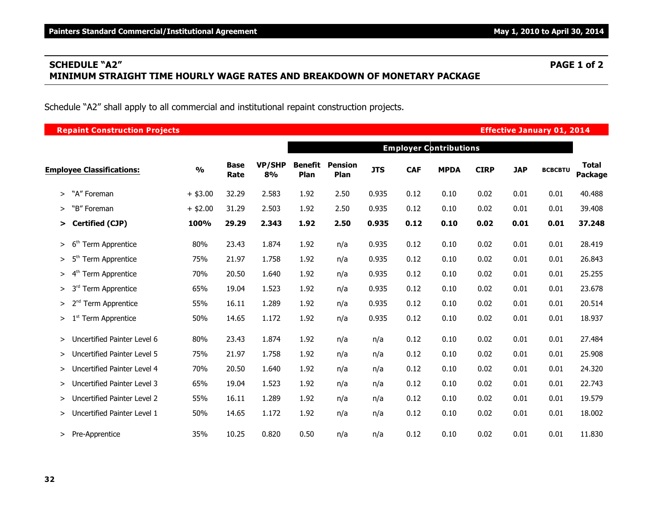# **SCHEDULE "A2" PAGE 1 of 2 MINIMUM STRAIGHT TIME HOURLY WAGE RATES AND BREAKDOWN OF MONETARY PACKAGE**

Schedule "A2" shall apply to all commercial and institutional repaint construction projects.

| <b>Repaint Construction Projects</b>                |               |                     |                     |                        |                        |            |            |                               |             |            | <b>Effective January 01, 2014</b> |                         |
|-----------------------------------------------------|---------------|---------------------|---------------------|------------------------|------------------------|------------|------------|-------------------------------|-------------|------------|-----------------------------------|-------------------------|
|                                                     |               |                     |                     |                        |                        |            |            | <b>Employer Contributions</b> |             |            |                                   |                         |
| <b>Employee Classifications:</b>                    | $\frac{0}{0}$ | <b>Base</b><br>Rate | <b>VP/SHP</b><br>8% | <b>Benefit</b><br>Plan | <b>Pension</b><br>Plan | <b>JTS</b> | <b>CAF</b> | <b>MPDA</b>                   | <b>CIRP</b> | <b>JAP</b> | <b>BCBCBTU</b>                    | <b>Total</b><br>Package |
| "A" Foreman<br>$\geq$                               | $+$ \$3.00    | 32.29               | 2.583               | 1.92                   | 2.50                   | 0.935      | 0.12       | 0.10                          | 0.02        | 0.01       | 0.01                              | 40.488                  |
| "B" Foreman<br>>                                    | $+$ \$2.00    | 31.29               | 2.503               | 1.92                   | 2.50                   | 0.935      | 0.12       | 0.10                          | 0.02        | 0.01       | 0.01                              | 39.408                  |
| Certified (CJP)<br>$\geq$                           | 100%          | 29.29               | 2.343               | 1.92                   | 2.50                   | 0.935      | 0.12       | 0.10                          | 0.02        | 0.01       | 0.01                              | 37.248                  |
| 6 <sup>th</sup><br>Term Apprentice<br>$\,>$         | 80%           | 23.43               | 1.874               | 1.92                   | n/a                    | 0.935      | 0.12       | 0.10                          | 0.02        | 0.01       | 0.01                              | 28.419                  |
| 5 <sup>th</sup><br><b>Term Apprentice</b><br>>      | 75%           | 21.97               | 1.758               | 1.92                   | n/a                    | 0.935      | 0.12       | 0.10                          | 0.02        | 0.01       | 0.01                              | 26.843                  |
| 4 <sup>th</sup><br><b>Term Apprentice</b><br>$\geq$ | 70%           | 20.50               | 1.640               | 1.92                   | n/a                    | 0.935      | 0.12       | 0.10                          | 0.02        | 0.01       | 0.01                              | 25.255                  |
| <b>Term Apprentice</b><br>3 <sup>rd</sup><br>$\geq$ | 65%           | 19.04               | 1.523               | 1.92                   | n/a                    | 0.935      | 0.12       | 0.10                          | 0.02        | 0.01       | 0.01                              | 23.678                  |
| Term Apprentice<br>>                                | 55%           | 16.11               | 1.289               | 1.92                   | n/a                    | 0.935      | 0.12       | 0.10                          | 0.02        | 0.01       | 0.01                              | 20.514                  |
| 1 <sup>st</sup> Term Apprentice<br>$\geq$           | 50%           | 14.65               | 1.172               | 1.92                   | n/a                    | 0.935      | 0.12       | 0.10                          | 0.02        | 0.01       | 0.01                              | 18.937                  |
| Uncertified Painter Level 6<br>$\geq$               | 80%           | 23.43               | 1.874               | 1.92                   | n/a                    | n/a        | 0.12       | 0.10                          | 0.02        | 0.01       | 0.01                              | 27.484                  |
| Uncertified Painter Level 5<br>$\geq$               | 75%           | 21.97               | 1.758               | 1.92                   | n/a                    | n/a        | 0.12       | 0.10                          | 0.02        | 0.01       | 0.01                              | 25.908                  |
| Uncertified Painter Level 4<br>>                    | 70%           | 20.50               | 1.640               | 1.92                   | n/a                    | n/a        | 0.12       | 0.10                          | 0.02        | 0.01       | 0.01                              | 24.320                  |
| Uncertified Painter Level 3<br>>                    | 65%           | 19.04               | 1.523               | 1.92                   | n/a                    | n/a        | 0.12       | 0.10                          | 0.02        | 0.01       | 0.01                              | 22.743                  |
| Uncertified Painter Level 2<br>$\geq$               | 55%           | 16.11               | 1.289               | 1.92                   | n/a                    | n/a        | 0.12       | 0.10                          | 0.02        | 0.01       | 0.01                              | 19.579                  |
| Uncertified Painter Level 1<br>≻                    | 50%           | 14.65               | 1.172               | 1.92                   | n/a                    | n/a        | 0.12       | 0.10                          | 0.02        | 0.01       | 0.01                              | 18.002                  |
| Pre-Apprentice<br>$\geq$                            | 35%           | 10.25               | 0.820               | 0.50                   | n/a                    | n/a        | 0.12       | 0.10                          | 0.02        | 0.01       | 0.01                              | 11.830                  |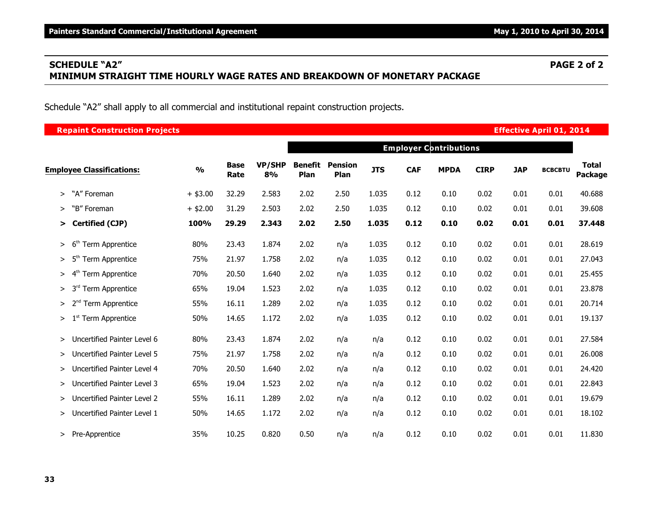# **SCHEDULE "A2" PAGE 2 of 2 MINIMUM STRAIGHT TIME HOURLY WAGE RATES AND BREAKDOWN OF MONETARY PACKAGE**

Schedule "A2" shall apply to all commercial and institutional repaint construction projects.

| <b>Repaint Construction Projects</b>    |               |                                                                                                                                                                                                                                                                                                                                                                                                                                                                                                                                                                                                                                                                                                                                                                                                                                                                                                                                                                                                                                                                                                                                                                                                                                                                                                                 |       |      |     |     |      |      |      |      |                |                                |
|-----------------------------------------|---------------|-----------------------------------------------------------------------------------------------------------------------------------------------------------------------------------------------------------------------------------------------------------------------------------------------------------------------------------------------------------------------------------------------------------------------------------------------------------------------------------------------------------------------------------------------------------------------------------------------------------------------------------------------------------------------------------------------------------------------------------------------------------------------------------------------------------------------------------------------------------------------------------------------------------------------------------------------------------------------------------------------------------------------------------------------------------------------------------------------------------------------------------------------------------------------------------------------------------------------------------------------------------------------------------------------------------------|-------|------|-----|-----|------|------|------|------|----------------|--------------------------------|
|                                         |               | <b>Effective April 01, 2014</b><br><b>Employer Contributions</b><br><b>Benefit</b><br><b>VP/SHP</b><br><b>Pension</b><br><b>Base</b><br><b>JTS</b><br><b>CAF</b><br><b>CIRP</b><br><b>JAP</b><br><b>MPDA</b><br>8%<br>Plan<br>Plan<br>Rate<br>32.29<br>2.583<br>2.02<br>2.50<br>1.035<br>0.02<br>0.01<br>0.12<br>0.10<br>31.29<br>2.503<br>2.02<br>2.50<br>1.035<br>0.12<br>0.10<br>0.02<br>0.01<br>29.29<br>2.343<br>2.50<br>1.035<br>0.10<br>2.02<br>0.12<br>0.02<br>0.01<br>1.874<br>23.43<br>2.02<br>1.035<br>0.12<br>0.10<br>0.02<br>0.01<br>n/a<br>1.758<br>1.035<br>21.97<br>2.02<br>0.12<br>0.10<br>0.02<br>0.01<br>n/a<br>20.50<br>1.640<br>2.02<br>1.035<br>0.12<br>0.10<br>0.02<br>0.01<br>n/a<br>1.035<br>19.04<br>1.523<br>2.02<br>0.12<br>0.10<br>0.02<br>0.01<br>n/a<br>16.11<br>1.289<br>2.02<br>1.035<br>0.12<br>0.10<br>0.02<br>0.01<br>n/a<br>14.65<br>1.172<br>2.02<br>1.035<br>0.12<br>0.01<br>0.10<br>0.02<br>n/a<br>23.43<br>1.874<br>2.02<br>0.12<br>0.10<br>0.02<br>0.01<br>n/a<br>n/a<br>1.758<br>0.12<br>21.97<br>2.02<br>0.10<br>0.02<br>0.01<br>n/a<br>n/a<br>20.50<br>1.640<br>2.02<br>0.12<br>0.10<br>0.02<br>0.01<br>n/a<br>n/a<br>1.523<br>19.04<br>2.02<br>0.12<br>0.10<br>0.02<br>0.01<br>n/a<br>n/a<br>1.289<br>2.02<br>16.11<br>0.12<br>0.10<br>0.02<br>0.01<br>n/a<br>n/a |       |      |     |     |      |      |      |      |                |                                |
| <b>Employee Classifications:</b>        | $\frac{0}{0}$ |                                                                                                                                                                                                                                                                                                                                                                                                                                                                                                                                                                                                                                                                                                                                                                                                                                                                                                                                                                                                                                                                                                                                                                                                                                                                                                                 |       |      |     |     |      |      |      |      | <b>BCBCBTU</b> | <b>Total</b><br><b>Package</b> |
| "A" Foreman<br>$\,>$                    | $+$ \$3.00    |                                                                                                                                                                                                                                                                                                                                                                                                                                                                                                                                                                                                                                                                                                                                                                                                                                                                                                                                                                                                                                                                                                                                                                                                                                                                                                                 |       |      |     |     |      |      |      |      | 0.01           | 40.688                         |
| "B" Foreman<br>>                        | $+$ \$2.00    |                                                                                                                                                                                                                                                                                                                                                                                                                                                                                                                                                                                                                                                                                                                                                                                                                                                                                                                                                                                                                                                                                                                                                                                                                                                                                                                 |       |      |     |     |      |      |      |      | 0.01           | 39.608                         |
| Certified (CJP)<br>>                    | 100%          |                                                                                                                                                                                                                                                                                                                                                                                                                                                                                                                                                                                                                                                                                                                                                                                                                                                                                                                                                                                                                                                                                                                                                                                                                                                                                                                 |       |      |     |     |      |      |      |      | 0.01           | 37.448                         |
| 6 <sup>th</sup><br>Term Apprentice<br>> | 80%           |                                                                                                                                                                                                                                                                                                                                                                                                                                                                                                                                                                                                                                                                                                                                                                                                                                                                                                                                                                                                                                                                                                                                                                                                                                                                                                                 |       |      |     |     |      |      |      |      | 0.01           | 28.619                         |
| 5 <sup>th</sup><br>Term Apprentice<br>⋗ | 75%           |                                                                                                                                                                                                                                                                                                                                                                                                                                                                                                                                                                                                                                                                                                                                                                                                                                                                                                                                                                                                                                                                                                                                                                                                                                                                                                                 |       |      |     |     |      |      |      |      | 0.01           | 27.043                         |
| Term Apprentice<br>⋗                    | 70%           |                                                                                                                                                                                                                                                                                                                                                                                                                                                                                                                                                                                                                                                                                                                                                                                                                                                                                                                                                                                                                                                                                                                                                                                                                                                                                                                 |       |      |     |     |      |      |      |      | 0.01           | 25.455                         |
| 3 <sup>rd</sup><br>Term Apprentice<br>⋗ | 65%           |                                                                                                                                                                                                                                                                                                                                                                                                                                                                                                                                                                                                                                                                                                                                                                                                                                                                                                                                                                                                                                                                                                                                                                                                                                                                                                                 |       |      |     |     |      |      |      |      | 0.01           | 23.878                         |
| <b>Term Apprentice</b><br>>             | 55%           |                                                                                                                                                                                                                                                                                                                                                                                                                                                                                                                                                                                                                                                                                                                                                                                                                                                                                                                                                                                                                                                                                                                                                                                                                                                                                                                 |       |      |     |     |      |      |      |      | 0.01           | 20.714                         |
| 1 <sup>st</sup> Term Apprentice<br>>    | 50%           |                                                                                                                                                                                                                                                                                                                                                                                                                                                                                                                                                                                                                                                                                                                                                                                                                                                                                                                                                                                                                                                                                                                                                                                                                                                                                                                 |       |      |     |     |      |      |      |      | 0.01           | 19.137                         |
| Uncertified Painter Level 6<br>>        | 80%           |                                                                                                                                                                                                                                                                                                                                                                                                                                                                                                                                                                                                                                                                                                                                                                                                                                                                                                                                                                                                                                                                                                                                                                                                                                                                                                                 |       |      |     |     |      |      |      |      | 0.01           | 27.584                         |
| Uncertified Painter Level 5<br>>        | 75%           |                                                                                                                                                                                                                                                                                                                                                                                                                                                                                                                                                                                                                                                                                                                                                                                                                                                                                                                                                                                                                                                                                                                                                                                                                                                                                                                 |       |      |     |     |      |      |      |      | 0.01           | 26.008                         |
| Uncertified Painter Level 4<br>⋗        | 70%           |                                                                                                                                                                                                                                                                                                                                                                                                                                                                                                                                                                                                                                                                                                                                                                                                                                                                                                                                                                                                                                                                                                                                                                                                                                                                                                                 |       |      |     |     |      |      |      |      | 0.01           | 24.420                         |
| Uncertified Painter Level 3<br>>        | 65%           |                                                                                                                                                                                                                                                                                                                                                                                                                                                                                                                                                                                                                                                                                                                                                                                                                                                                                                                                                                                                                                                                                                                                                                                                                                                                                                                 |       |      |     |     |      |      |      |      | 0.01           | 22.843                         |
| Uncertified Painter Level 2<br>⋗        | 55%           |                                                                                                                                                                                                                                                                                                                                                                                                                                                                                                                                                                                                                                                                                                                                                                                                                                                                                                                                                                                                                                                                                                                                                                                                                                                                                                                 |       |      |     |     |      |      |      |      | 0.01           | 19.679                         |
| Uncertified Painter Level 1<br>≻        | 50%           | 14.65                                                                                                                                                                                                                                                                                                                                                                                                                                                                                                                                                                                                                                                                                                                                                                                                                                                                                                                                                                                                                                                                                                                                                                                                                                                                                                           | 1.172 | 2.02 | n/a | n/a | 0.12 | 0.10 | 0.02 | 0.01 | 0.01           | 18.102                         |
| Pre-Apprentice<br>≻                     | 35%           | 10.25                                                                                                                                                                                                                                                                                                                                                                                                                                                                                                                                                                                                                                                                                                                                                                                                                                                                                                                                                                                                                                                                                                                                                                                                                                                                                                           | 0.820 | 0.50 | n/a | n/a | 0.12 | 0.10 | 0.02 | 0.01 | 0.01           | 11.830                         |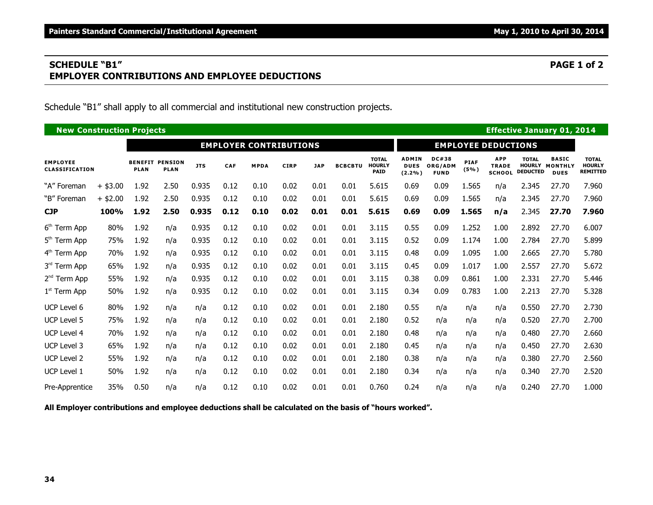# **SCHEDULE "B1" PAGE 1 of 2 EMPLOYER CONTRIBUTIONS AND EMPLOYEE DEDUCTIONS**

Schedule "B1" shall apply to all commercial and institutional new construction projects.

|                                   | <b>Effective January 01, 2014</b><br><b>New Construction Projects</b><br><b>EMPLOYER CONTRIBUTIONS</b><br><b>EMPLOYEE DEDUCTIONS</b> |                               |                               |            |            |             |             |            |                |                                              |                                       |                                        |                     |                                             |                                 |                                               |                                                  |
|-----------------------------------|--------------------------------------------------------------------------------------------------------------------------------------|-------------------------------|-------------------------------|------------|------------|-------------|-------------|------------|----------------|----------------------------------------------|---------------------------------------|----------------------------------------|---------------------|---------------------------------------------|---------------------------------|-----------------------------------------------|--------------------------------------------------|
|                                   |                                                                                                                                      |                               |                               |            |            |             |             |            |                |                                              |                                       |                                        |                     |                                             |                                 |                                               |                                                  |
| <b>EMPLOYEE</b><br>CLASSIFICATION |                                                                                                                                      | <b>BENEFIT</b><br><b>PLAN</b> | <b>PENSION</b><br><b>PLAN</b> | <b>JTS</b> | <b>CAF</b> | <b>MPDA</b> | <b>CIRP</b> | <b>JAP</b> | <b>BCBCBTU</b> | <b>TOTAL</b><br><b>HOURLY</b><br><b>PAID</b> | <b>ADMIN</b><br><b>DUES</b><br>(2.2%) | <b>DC#38</b><br>ORG/ADM<br><b>FUND</b> | <b>PIAF</b><br>(5%) | <b>APP</b><br><b>TRADE</b><br><b>SCHOOL</b> | <b>TOTAL</b><br><b>DEDUCTED</b> | <b>BASIC</b><br>HOURLY MONTHLY<br><b>DUES</b> | <b>TOTAL</b><br><b>HOURLY</b><br><b>REMITTED</b> |
| "A" Foreman                       | $+$ \$3.00                                                                                                                           | 1.92                          | 2.50                          | 0.935      | 0.12       | 0.10        | 0.02        | 0.01       | 0.01           | 5.615                                        | 0.69                                  | 0.09                                   | 1.565               | n/a                                         | 2.345                           | 27.70                                         | 7.960                                            |
| "B" Foreman                       | $+$ \$2.00                                                                                                                           | 1.92                          | 2.50                          | 0.935      | 0.12       | 0.10        | 0.02        | 0.01       | 0.01           | 5.615                                        | 0.69                                  | 0.09                                   | 1.565               | n/a                                         | 2.345                           | 27.70                                         | 7.960                                            |
| <b>CJP</b>                        | 100%                                                                                                                                 | 1.92                          | 2.50                          | 0.935      | 0.12       | 0.10        | 0.02        | 0.01       | 0.01           | 5.615                                        | 0.69                                  | 0.09                                   | 1.565               | n/a                                         | 2.345                           | 27.70                                         | 7.960                                            |
| 6 <sup>th</sup> Term App          | 80%                                                                                                                                  | 1.92                          | n/a                           | 0.935      | 0.12       | 0.10        | 0.02        | 0.01       | 0.01           | 3.115                                        | 0.55                                  | 0.09                                   | 1.252               | 1.00                                        | 2.892                           | 27.70                                         | 6.007                                            |
| 5 <sup>th</sup> Term App          | 75%                                                                                                                                  | 1.92                          | n/a                           | 0.935      | 0.12       | 0.10        | 0.02        | 0.01       | 0.01           | 3.115                                        | 0.52                                  | 0.09                                   | 1.174               | 1.00                                        | 2.784                           | 27.70                                         | 5.899                                            |
| 4 <sup>th</sup> Term App          | 70%                                                                                                                                  | 1.92                          | n/a                           | 0.935      | 0.12       | 0.10        | 0.02        | 0.01       | 0.01           | 3.115                                        | 0.48                                  | 0.09                                   | 1.095               | 1.00                                        | 2.665                           | 27.70                                         | 5.780                                            |
| 3rd Term App                      | 65%                                                                                                                                  | 1.92                          | n/a                           | 0.935      | 0.12       | 0.10        | 0.02        | 0.01       | 0.01           | 3.115                                        | 0.45                                  | 0.09                                   | 1.017               | 1.00                                        | 2.557                           | 27.70                                         | 5.672                                            |
| 2 <sup>nd</sup> Term App          | 55%                                                                                                                                  | 1.92                          | n/a                           | 0.935      | 0.12       | 0.10        | 0.02        | 0.01       | 0.01           | 3.115                                        | 0.38                                  | 0.09                                   | 0.861               | 1.00                                        | 2.331                           | 27.70                                         | 5.446                                            |
| $1st$ Term App                    | 50%                                                                                                                                  | 1.92                          | n/a                           | 0.935      | 0.12       | 0.10        | 0.02        | 0.01       | 0.01           | 3.115                                        | 0.34                                  | 0.09                                   | 0.783               | 1.00                                        | 2.213                           | 27.70                                         | 5.328                                            |
| UCP Level 6                       | 80%                                                                                                                                  | 1.92                          | n/a                           | n/a        | 0.12       | 0.10        | 0.02        | 0.01       | 0.01           | 2.180                                        | 0.55                                  | n/a                                    | n/a                 | n/a                                         | 0.550                           | 27.70                                         | 2.730                                            |
| <b>UCP Level 5</b>                | 75%                                                                                                                                  | 1.92                          | n/a                           | n/a        | 0.12       | 0.10        | 0.02        | 0.01       | 0.01           | 2.180                                        | 0.52                                  | n/a                                    | n/a                 | n/a                                         | 0.520                           | 27.70                                         | 2.700                                            |
| UCP Level 4                       | 70%                                                                                                                                  | 1.92                          | n/a                           | n/a        | 0.12       | 0.10        | 0.02        | 0.01       | 0.01           | 2.180                                        | 0.48                                  | n/a                                    | n/a                 | n/a                                         | 0.480                           | 27.70                                         | 2.660                                            |
| UCP Level 3                       | 65%                                                                                                                                  | 1.92                          | n/a                           | n/a        | 0.12       | 0.10        | 0.02        | 0.01       | 0.01           | 2.180                                        | 0.45                                  | n/a                                    | n/a                 | n/a                                         | 0.450                           | 27.70                                         | 2.630                                            |
| UCP Level 2                       | 55%                                                                                                                                  | 1.92                          | n/a                           | n/a        | 0.12       | 0.10        | 0.02        | 0.01       | 0.01           | 2.180                                        | 0.38                                  | n/a                                    | n/a                 | n/a                                         | 0.380                           | 27.70                                         | 2.560                                            |
| UCP Level 1                       | 50%                                                                                                                                  | 1.92                          | n/a                           | n/a        | 0.12       | 0.10        | 0.02        | 0.01       | 0.01           | 2.180                                        | 0.34                                  | n/a                                    | n/a                 | n/a                                         | 0.340                           | 27.70                                         | 2.520                                            |
| Pre-Apprentice                    | 35%                                                                                                                                  | 0.50                          | n/a                           | n/a        | 0.12       | 0.10        | 0.02        | 0.01       | 0.01           | 0.760                                        | 0.24                                  | n/a                                    | n/a                 | n/a                                         | 0.240                           | 27.70                                         | 1.000                                            |

**All Employer contributions and employee deductions shall be calculated on the basis of "hours worked".**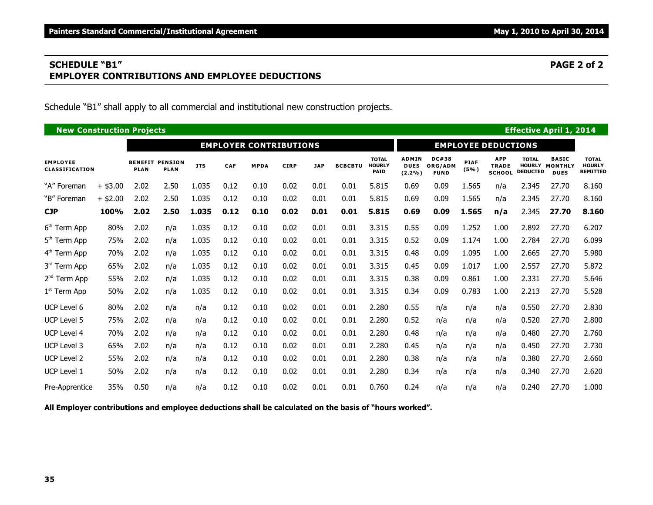# **SCHEDULE "B1" PAGE 2 of 2 EMPLOYER CONTRIBUTIONS AND EMPLOYEE DEDUCTIONS**

Schedule "B1" shall apply to all commercial and institutional new construction projects.

|                                   | <b>Effective April 1, 2014</b><br><b>New Construction Projects</b><br><b>EMPLOYER CONTRIBUTIONS</b><br><b>EMPLOYEE DEDUCTIONS</b> |                               |                               |            |            |             |             |            |                |                                              |                                       |                                        |                     |                                             |                                 |                                               |                                                  |
|-----------------------------------|-----------------------------------------------------------------------------------------------------------------------------------|-------------------------------|-------------------------------|------------|------------|-------------|-------------|------------|----------------|----------------------------------------------|---------------------------------------|----------------------------------------|---------------------|---------------------------------------------|---------------------------------|-----------------------------------------------|--------------------------------------------------|
|                                   |                                                                                                                                   |                               |                               |            |            |             |             |            |                |                                              |                                       |                                        |                     |                                             |                                 |                                               |                                                  |
| <b>EMPLOYEE</b><br>CLASSIFICATION |                                                                                                                                   | <b>BENEFIT</b><br><b>PLAN</b> | <b>PENSION</b><br><b>PLAN</b> | <b>JTS</b> | <b>CAF</b> | <b>MPDA</b> | <b>CIRP</b> | <b>JAP</b> | <b>BCBCBTU</b> | <b>TOTAL</b><br><b>HOURLY</b><br><b>PAID</b> | <b>ADMIN</b><br><b>DUES</b><br>(2.2%) | <b>DC#38</b><br>ORG/ADM<br><b>FUND</b> | <b>PIAF</b><br>(5%) | <b>APP</b><br><b>TRADE</b><br><b>SCHOOL</b> | <b>TOTAL</b><br><b>DEDUCTED</b> | <b>BASIC</b><br>HOURLY MONTHLY<br><b>DUES</b> | <b>TOTAL</b><br><b>HOURLY</b><br><b>REMITTED</b> |
| "A" Foreman                       | $+$ \$3.00                                                                                                                        | 2.02                          | 2.50                          | 1.035      | 0.12       | 0.10        | 0.02        | 0.01       | 0.01           | 5.815                                        | 0.69                                  | 0.09                                   | 1.565               | n/a                                         | 2.345                           | 27.70                                         | 8.160                                            |
| "B" Foreman                       | $+$ \$2.00                                                                                                                        | 2.02                          | 2.50                          | 1.035      | 0.12       | 0.10        | 0.02        | 0.01       | 0.01           | 5.815                                        | 0.69                                  | 0.09                                   | 1.565               | n/a                                         | 2.345                           | 27.70                                         | 8.160                                            |
| <b>CJP</b>                        | 100%                                                                                                                              | 2.02                          | 2.50                          | 1.035      | 0.12       | 0.10        | 0.02        | 0.01       | 0.01           | 5.815                                        | 0.69                                  | 0.09                                   | 1.565               | n/a                                         | 2.345                           | 27.70                                         | 8.160                                            |
| 6 <sup>th</sup> Term App          | 80%                                                                                                                               | 2.02                          | n/a                           | 1.035      | 0.12       | 0.10        | 0.02        | 0.01       | 0.01           | 3.315                                        | 0.55                                  | 0.09                                   | 1.252               | 1.00                                        | 2.892                           | 27.70                                         | 6.207                                            |
| 5 <sup>th</sup> Term App          | 75%                                                                                                                               | 2.02                          | n/a                           | 1.035      | 0.12       | 0.10        | 0.02        | 0.01       | 0.01           | 3.315                                        | 0.52                                  | 0.09                                   | 1.174               | 1.00                                        | 2.784                           | 27.70                                         | 6.099                                            |
| 4 <sup>th</sup> Term App          | 70%                                                                                                                               | 2.02                          | n/a                           | 1.035      | 0.12       | 0.10        | 0.02        | 0.01       | 0.01           | 3.315                                        | 0.48                                  | 0.09                                   | 1.095               | 1.00                                        | 2.665                           | 27.70                                         | 5.980                                            |
| 3rd Term App                      | 65%                                                                                                                               | 2.02                          | n/a                           | 1.035      | 0.12       | 0.10        | 0.02        | 0.01       | 0.01           | 3.315                                        | 0.45                                  | 0.09                                   | 1.017               | 1.00                                        | 2.557                           | 27.70                                         | 5.872                                            |
| 2 <sup>nd</sup> Term App          | 55%                                                                                                                               | 2.02                          | n/a                           | 1.035      | 0.12       | 0.10        | 0.02        | 0.01       | 0.01           | 3.315                                        | 0.38                                  | 0.09                                   | 0.861               | 1.00                                        | 2.331                           | 27.70                                         | 5.646                                            |
| 1 <sup>st</sup> Term App          | 50%                                                                                                                               | 2.02                          | n/a                           | 1.035      | 0.12       | 0.10        | 0.02        | 0.01       | 0.01           | 3.315                                        | 0.34                                  | 0.09                                   | 0.783               | 1.00                                        | 2.213                           | 27.70                                         | 5.528                                            |
| UCP Level 6                       | 80%                                                                                                                               | 2.02                          | n/a                           | n/a        | 0.12       | 0.10        | 0.02        | 0.01       | 0.01           | 2.280                                        | 0.55                                  | n/a                                    | n/a                 | n/a                                         | 0.550                           | 27.70                                         | 2.830                                            |
| <b>UCP Level 5</b>                | 75%                                                                                                                               | 2.02                          | n/a                           | n/a        | 0.12       | 0.10        | 0.02        | 0.01       | 0.01           | 2.280                                        | 0.52                                  | n/a                                    | n/a                 | n/a                                         | 0.520                           | 27.70                                         | 2.800                                            |
| <b>UCP Level 4</b>                | 70%                                                                                                                               | 2.02                          | n/a                           | n/a        | 0.12       | 0.10        | 0.02        | 0.01       | 0.01           | 2.280                                        | 0.48                                  | n/a                                    | n/a                 | n/a                                         | 0.480                           | 27.70                                         | 2.760                                            |
| UCP Level 3                       | 65%                                                                                                                               | 2.02                          | n/a                           | n/a        | 0.12       | 0.10        | 0.02        | 0.01       | 0.01           | 2.280                                        | 0.45                                  | n/a                                    | n/a                 | n/a                                         | 0.450                           | 27.70                                         | 2.730                                            |
| <b>UCP Level 2</b>                | 55%                                                                                                                               | 2.02                          | n/a                           | n/a        | 0.12       | 0.10        | 0.02        | 0.01       | 0.01           | 2.280                                        | 0.38                                  | n/a                                    | n/a                 | n/a                                         | 0.380                           | 27.70                                         | 2.660                                            |
| UCP Level 1                       | 50%                                                                                                                               | 2.02                          | n/a                           | n/a        | 0.12       | 0.10        | 0.02        | 0.01       | 0.01           | 2.280                                        | 0.34                                  | n/a                                    | n/a                 | n/a                                         | 0.340                           | 27.70                                         | 2.620                                            |
| Pre-Apprentice                    | 35%                                                                                                                               | 0.50                          | n/a                           | n/a        | 0.12       | 0.10        | 0.02        | 0.01       | 0.01           | 0.760                                        | 0.24                                  | n/a                                    | n/a                 | n/a                                         | 0.240                           | 27.70                                         | 1.000                                            |

**All Employer contributions and employee deductions shall be calculated on the basis of "hours worked".**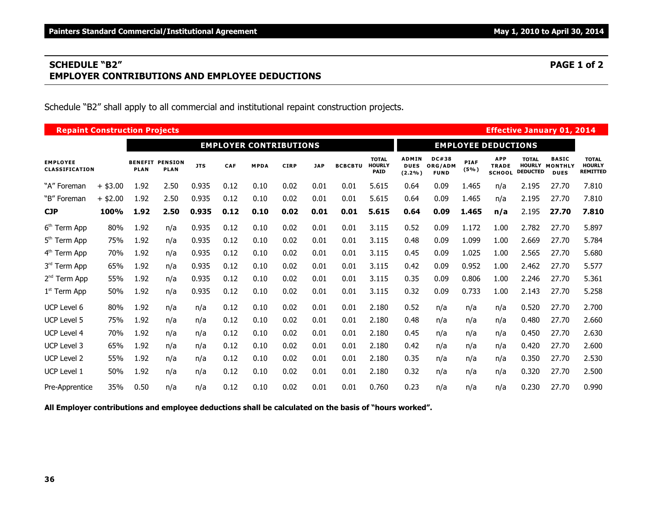# **SCHEDULE "B2" PAGE 1 of 2 EMPLOYER CONTRIBUTIONS AND EMPLOYEE DEDUCTIONS**

Schedule "B2" shall apply to all commercial and institutional repaint construction projects.

|                                   | <b>Repaint Construction Projects</b><br><b>Effective January 01, 2014</b><br><b>EMPLOYER CONTRIBUTIONS</b> |                               |                               |            |      |             |             |            |                |                                              |                                          |                                        |                     |                                             |                                 |                                               |                                                  |
|-----------------------------------|------------------------------------------------------------------------------------------------------------|-------------------------------|-------------------------------|------------|------|-------------|-------------|------------|----------------|----------------------------------------------|------------------------------------------|----------------------------------------|---------------------|---------------------------------------------|---------------------------------|-----------------------------------------------|--------------------------------------------------|
|                                   |                                                                                                            |                               |                               |            |      |             |             |            |                |                                              |                                          |                                        |                     | <b>EMPLOYEE DEDUCTIONS</b>                  |                                 |                                               |                                                  |
| <b>EMPLOYEE</b><br>CLASSIFICATION |                                                                                                            | <b>BENEFIT</b><br><b>PLAN</b> | <b>PENSION</b><br><b>PLAN</b> | <b>JTS</b> | CAF  | <b>MPDA</b> | <b>CIRP</b> | <b>JAP</b> | <b>BCBCBTU</b> | <b>TOTAL</b><br><b>HOURLY</b><br><b>PAID</b> | <b>ADMIN</b><br><b>DUES</b><br>$(2.2\%)$ | <b>DC#38</b><br>ORG/ADM<br><b>FUND</b> | <b>PIAF</b><br>(5%) | <b>APP</b><br><b>TRADE</b><br><b>SCHOOL</b> | <b>TOTAL</b><br><b>DEDUCTED</b> | <b>BASIC</b><br>HOURLY MONTHLY<br><b>DUES</b> | <b>TOTAL</b><br><b>HOURLY</b><br><b>REMITTED</b> |
| "A" Foreman                       | $+$ \$3.00                                                                                                 | 1.92                          | 2.50                          | 0.935      | 0.12 | 0.10        | 0.02        | 0.01       | 0.01           | 5.615                                        | 0.64                                     | 0.09                                   | 1.465               | n/a                                         | 2.195                           | 27.70                                         | 7.810                                            |
| "B" Foreman                       | $+$ \$2.00                                                                                                 | 1.92                          | 2.50                          | 0.935      | 0.12 | 0.10        | 0.02        | 0.01       | 0.01           | 5.615                                        | 0.64                                     | 0.09                                   | 1.465               | n/a                                         | 2.195                           | 27.70                                         | 7.810                                            |
| <b>CJP</b>                        | 100%                                                                                                       | 1.92                          | 2.50                          | 0.935      | 0.12 | 0.10        | 0.02        | 0.01       | 0.01           | 5.615                                        | 0.64                                     | 0.09                                   | 1.465               | n/a                                         | 2.195                           | 27.70                                         | 7.810                                            |
| 6 <sup>th</sup> Term App          | 80%                                                                                                        | 1.92                          | n/a                           | 0.935      | 0.12 | 0.10        | 0.02        | 0.01       | 0.01           | 3.115                                        | 0.52                                     | 0.09                                   | 1.172               | 1.00                                        | 2.782                           | 27.70                                         | 5.897                                            |
| 5 <sup>th</sup> Term App          | 75%                                                                                                        | 1.92                          | n/a                           | 0.935      | 0.12 | 0.10        | 0.02        | 0.01       | 0.01           | 3.115                                        | 0.48                                     | 0.09                                   | 1.099               | 1.00                                        | 2.669                           | 27.70                                         | 5.784                                            |
| 4 <sup>th</sup> Term App          | 70%                                                                                                        | 1.92                          | n/a                           | 0.935      | 0.12 | 0.10        | 0.02        | 0.01       | 0.01           | 3.115                                        | 0.45                                     | 0.09                                   | 1.025               | 1.00                                        | 2.565                           | 27.70                                         | 5.680                                            |
| 3rd Term App                      | 65%                                                                                                        | 1.92                          | n/a                           | 0.935      | 0.12 | 0.10        | 0.02        | 0.01       | 0.01           | 3.115                                        | 0.42                                     | 0.09                                   | 0.952               | 1.00                                        | 2.462                           | 27.70                                         | 5.577                                            |
| 2 <sup>nd</sup> Term App          | 55%                                                                                                        | 1.92                          | n/a                           | 0.935      | 0.12 | 0.10        | 0.02        | 0.01       | 0.01           | 3.115                                        | 0.35                                     | 0.09                                   | 0.806               | 1.00                                        | 2.246                           | 27.70                                         | 5.361                                            |
| $1st$ Term App                    | 50%                                                                                                        | 1.92                          | n/a                           | 0.935      | 0.12 | 0.10        | 0.02        | 0.01       | 0.01           | 3.115                                        | 0.32                                     | 0.09                                   | 0.733               | 1.00                                        | 2.143                           | 27.70                                         | 5.258                                            |
| UCP Level 6                       | 80%                                                                                                        | 1.92                          | n/a                           | n/a        | 0.12 | 0.10        | 0.02        | 0.01       | 0.01           | 2.180                                        | 0.52                                     | n/a                                    | n/a                 | n/a                                         | 0.520                           | 27.70                                         | 2.700                                            |
| <b>UCP Level 5</b>                | 75%                                                                                                        | 1.92                          | n/a                           | n/a        | 0.12 | 0.10        | 0.02        | 0.01       | 0.01           | 2.180                                        | 0.48                                     | n/a                                    | n/a                 | n/a                                         | 0.480                           | 27.70                                         | 2.660                                            |
| <b>UCP Level 4</b>                | 70%                                                                                                        | 1.92                          | n/a                           | n/a        | 0.12 | 0.10        | 0.02        | 0.01       | 0.01           | 2.180                                        | 0.45                                     | n/a                                    | n/a                 | n/a                                         | 0.450                           | 27.70                                         | 2.630                                            |
| <b>UCP Level 3</b>                | 65%                                                                                                        | 1.92                          | n/a                           | n/a        | 0.12 | 0.10        | 0.02        | 0.01       | 0.01           | 2.180                                        | 0.42                                     | n/a                                    | n/a                 | n/a                                         | 0.420                           | 27.70                                         | 2.600                                            |
| <b>UCP Level 2</b>                | 55%                                                                                                        | 1.92                          | n/a                           | n/a        | 0.12 | 0.10        | 0.02        | 0.01       | 0.01           | 2.180                                        | 0.35                                     | n/a                                    | n/a                 | n/a                                         | 0.350                           | 27.70                                         | 2.530                                            |
| UCP Level 1                       | 50%                                                                                                        | 1.92                          | n/a                           | n/a        | 0.12 | 0.10        | 0.02        | 0.01       | 0.01           | 2.180                                        | 0.32                                     | n/a                                    | n/a                 | n/a                                         | 0.320                           | 27.70                                         | 2.500                                            |
| Pre-Apprentice                    | 35%                                                                                                        | 0.50                          | n/a                           | n/a        | 0.12 | 0.10        | 0.02        | 0.01       | 0.01           | 0.760                                        | 0.23                                     | n/a                                    | n/a                 | n/a                                         | 0.230                           | 27.70                                         | 0.990                                            |

**All Employer contributions and employee deductions shall be calculated on the basis of "hours worked".**

**36**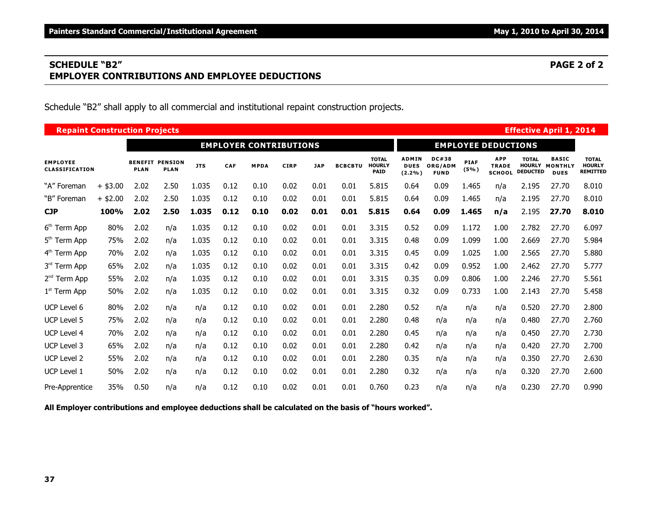# **SCHEDULE "B2" PAGE 2 of 2 EMPLOYER CONTRIBUTIONS AND EMPLOYEE DEDUCTIONS**

Schedule "B2" shall apply to all commercial and institutional repaint construction projects.

|                                   | <b>Repaint Construction Projects</b><br><b>Effective April 1, 2014</b><br><b>EMPLOYER CONTRIBUTIONS</b> |                               |                               |            |      |             |             |            |                |                                              |                                          |                                        |                     |                                             |                                 |                                               |                                                  |
|-----------------------------------|---------------------------------------------------------------------------------------------------------|-------------------------------|-------------------------------|------------|------|-------------|-------------|------------|----------------|----------------------------------------------|------------------------------------------|----------------------------------------|---------------------|---------------------------------------------|---------------------------------|-----------------------------------------------|--------------------------------------------------|
|                                   |                                                                                                         |                               |                               |            |      |             |             |            |                |                                              |                                          |                                        |                     | <b>EMPLOYEE DEDUCTIONS</b>                  |                                 |                                               |                                                  |
| <b>EMPLOYEE</b><br>CLASSIFICATION |                                                                                                         | <b>BENEFIT</b><br><b>PLAN</b> | <b>PENSION</b><br><b>PLAN</b> | <b>JTS</b> | CAF  | <b>MPDA</b> | <b>CIRP</b> | <b>JAP</b> | <b>BCBCBTU</b> | <b>TOTAL</b><br><b>HOURLY</b><br><b>PAID</b> | <b>ADMIN</b><br><b>DUES</b><br>$(2.2\%)$ | <b>DC#38</b><br>ORG/ADM<br><b>FUND</b> | <b>PIAF</b><br>(5%) | <b>APP</b><br><b>TRADE</b><br><b>SCHOOL</b> | <b>TOTAL</b><br><b>DEDUCTED</b> | <b>BASIC</b><br>HOURLY MONTHLY<br><b>DUES</b> | <b>TOTAL</b><br><b>HOURLY</b><br><b>REMITTED</b> |
| "A" Foreman                       | $+$ \$3.00                                                                                              | 2.02                          | 2.50                          | 1.035      | 0.12 | 0.10        | 0.02        | 0.01       | 0.01           | 5.815                                        | 0.64                                     | 0.09                                   | 1.465               | n/a                                         | 2.195                           | 27.70                                         | 8.010                                            |
| "B" Foreman                       | $+$ \$2.00                                                                                              | 2.02                          | 2.50                          | 1.035      | 0.12 | 0.10        | 0.02        | 0.01       | 0.01           | 5.815                                        | 0.64                                     | 0.09                                   | 1.465               | n/a                                         | 2.195                           | 27.70                                         | 8.010                                            |
| <b>CJP</b>                        | 100%                                                                                                    | 2.02                          | 2.50                          | 1.035      | 0.12 | 0.10        | 0.02        | 0.01       | 0.01           | 5.815                                        | 0.64                                     | 0.09                                   | 1.465               | n/a                                         | 2.195                           | 27.70                                         | 8.010                                            |
| 6 <sup>th</sup> Term App          | 80%                                                                                                     | 2.02                          | n/a                           | 1.035      | 0.12 | 0.10        | 0.02        | 0.01       | 0.01           | 3.315                                        | 0.52                                     | 0.09                                   | 1.172               | 1.00                                        | 2.782                           | 27.70                                         | 6.097                                            |
| 5 <sup>th</sup> Term App          | 75%                                                                                                     | 2.02                          | n/a                           | 1.035      | 0.12 | 0.10        | 0.02        | 0.01       | 0.01           | 3.315                                        | 0.48                                     | 0.09                                   | 1.099               | 1.00                                        | 2.669                           | 27.70                                         | 5.984                                            |
| 4 <sup>th</sup> Term App          | 70%                                                                                                     | 2.02                          | n/a                           | 1.035      | 0.12 | 0.10        | 0.02        | 0.01       | 0.01           | 3.315                                        | 0.45                                     | 0.09                                   | 1.025               | 1.00                                        | 2.565                           | 27.70                                         | 5.880                                            |
| 3rd Term App                      | 65%                                                                                                     | 2.02                          | n/a                           | 1.035      | 0.12 | 0.10        | 0.02        | 0.01       | 0.01           | 3.315                                        | 0.42                                     | 0.09                                   | 0.952               | 1.00                                        | 2.462                           | 27.70                                         | 5.777                                            |
| 2 <sup>nd</sup> Term App          | 55%                                                                                                     | 2.02                          | n/a                           | 1.035      | 0.12 | 0.10        | 0.02        | 0.01       | 0.01           | 3.315                                        | 0.35                                     | 0.09                                   | 0.806               | 1.00                                        | 2.246                           | 27.70                                         | 5.561                                            |
| $1st$ Term App                    | 50%                                                                                                     | 2.02                          | n/a                           | 1.035      | 0.12 | 0.10        | 0.02        | 0.01       | 0.01           | 3.315                                        | 0.32                                     | 0.09                                   | 0.733               | 1.00                                        | 2.143                           | 27.70                                         | 5.458                                            |
| UCP Level 6                       | 80%                                                                                                     | 2.02                          | n/a                           | n/a        | 0.12 | 0.10        | 0.02        | 0.01       | 0.01           | 2.280                                        | 0.52                                     | n/a                                    | n/a                 | n/a                                         | 0.520                           | 27.70                                         | 2.800                                            |
| <b>UCP Level 5</b>                | 75%                                                                                                     | 2.02                          | n/a                           | n/a        | 0.12 | 0.10        | 0.02        | 0.01       | 0.01           | 2.280                                        | 0.48                                     | n/a                                    | n/a                 | n/a                                         | 0.480                           | 27.70                                         | 2.760                                            |
| <b>UCP Level 4</b>                | 70%                                                                                                     | 2.02                          | n/a                           | n/a        | 0.12 | 0.10        | 0.02        | 0.01       | 0.01           | 2.280                                        | 0.45                                     | n/a                                    | n/a                 | n/a                                         | 0.450                           | 27.70                                         | 2.730                                            |
| <b>UCP Level 3</b>                | 65%                                                                                                     | 2.02                          | n/a                           | n/a        | 0.12 | 0.10        | 0.02        | 0.01       | 0.01           | 2.280                                        | 0.42                                     | n/a                                    | n/a                 | n/a                                         | 0.420                           | 27.70                                         | 2.700                                            |
| <b>UCP Level 2</b>                | 55%                                                                                                     | 2.02                          | n/a                           | n/a        | 0.12 | 0.10        | 0.02        | 0.01       | 0.01           | 2.280                                        | 0.35                                     | n/a                                    | n/a                 | n/a                                         | 0.350                           | 27.70                                         | 2.630                                            |
| UCP Level 1                       | 50%                                                                                                     | 2.02                          | n/a                           | n/a        | 0.12 | 0.10        | 0.02        | 0.01       | 0.01           | 2.280                                        | 0.32                                     | n/a                                    | n/a                 | n/a                                         | 0.320                           | 27.70                                         | 2.600                                            |
| Pre-Apprentice                    | 35%                                                                                                     | 0.50                          | n/a                           | n/a        | 0.12 | 0.10        | 0.02        | 0.01       | 0.01           | 0.760                                        | 0.23                                     | n/a                                    | n/a                 | n/a                                         | 0.230                           | 27.70                                         | 0.990                                            |

**All Employer contributions and employee deductions shall be calculated on the basis of "hours worked".**

**37**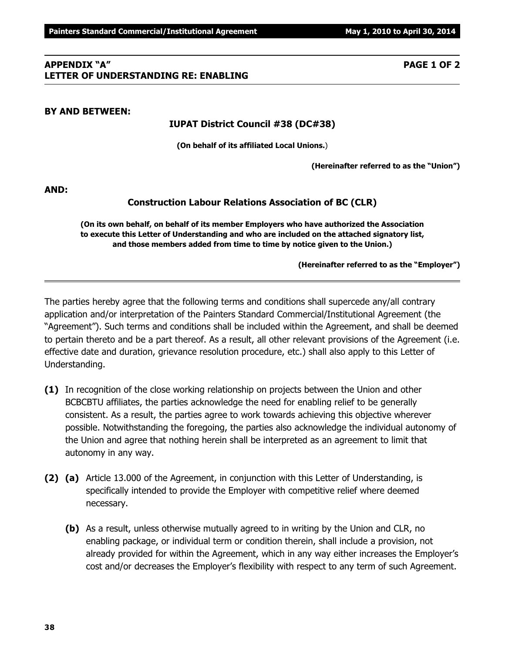**38**

#### **APPENDIX "A" PAGE 1 OF 2 LETTER OF UNDERSTANDING RE: ENABLING**

# **BY AND BETWEEN:**

# **IUPAT District Council #38 (DC#38)**

**(On behalf of its affiliated Local Unions.**)

**(Hereinafter referred to as the "Union")**

**AND:**

### **Construction Labour Relations Association of BC (CLR)**

**(On its own behalf, on behalf of its member Employers who have authorized the Association to execute this Letter of Understanding and who are included on the attached signatory list, and those members added from time to time by notice given to the Union.)**

**(Hereinafter referred to as the "Employer")**

The parties hereby agree that the following terms and conditions shall supercede any/all contrary application and/or interpretation of the Painters Standard Commercial/Institutional Agreement (the "Agreement"). Such terms and conditions shall be included within the Agreement, and shall be deemed to pertain thereto and be a part thereof. As a result, all other relevant provisions of the Agreement (i.e. effective date and duration, grievance resolution procedure, etc.) shall also apply to this Letter of Understanding.

- **(1)** In recognition of the close working relationship on projects between the Union and other BCBCBTU affiliates, the parties acknowledge the need for enabling relief to be generally consistent. As a result, the parties agree to work towards achieving this objective wherever possible. Notwithstanding the foregoing, the parties also acknowledge the individual autonomy of the Union and agree that nothing herein shall be interpreted as an agreement to limit that autonomy in any way.
- **(2) (a)** Article 13.000 of the Agreement, in conjunction with this Letter of Understanding, is specifically intended to provide the Employer with competitive relief where deemed necessary.
	- **(b)** As a result, unless otherwise mutually agreed to in writing by the Union and CLR, no enabling package, or individual term or condition therein, shall include a provision, not already provided for within the Agreement, which in any way either increases the Employer's cost and/or decreases the Employer's flexibility with respect to any term of such Agreement.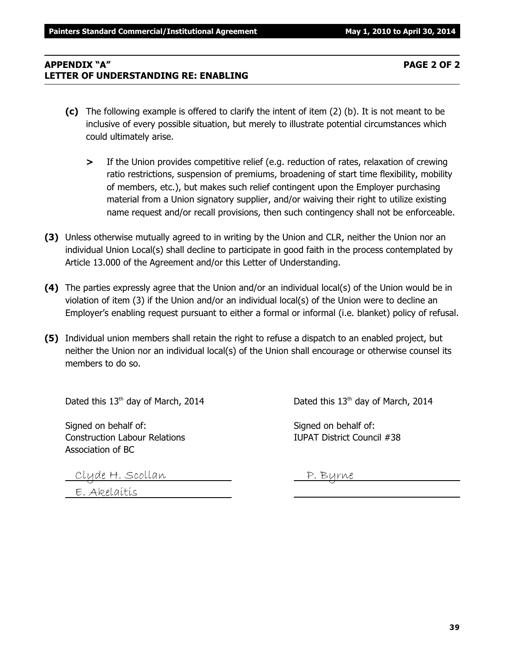# **APPENDIX "A" PAGE 2 OF 2 LETTER OF UNDERSTANDING RE: ENABLING**

- **(c)** The following example is offered to clarify the intent of item (2) (b). It is not meant to be inclusive of every possible situation, but merely to illustrate potential circumstances which could ultimately arise.
	- **>** If the Union provides competitive relief (e.g. reduction of rates, relaxation of crewing ratio restrictions, suspension of premiums, broadening of start time flexibility, mobility of members, etc.), but makes such relief contingent upon the Employer purchasing material from a Union signatory supplier, and/or waiving their right to utilize existing name request and/or recall provisions, then such contingency shall not be enforceable.
- **(3)** Unless otherwise mutually agreed to in writing by the Union and CLR, neither the Union nor an individual Union Local(s) shall decline to participate in good faith in the process contemplated by Article 13.000 of the Agreement and/or this Letter of Understanding.
- **(4)** The parties expressly agree that the Union and/or an individual local(s) of the Union would be in violation of item (3) if the Union and/or an individual local(s) of the Union were to decline an Employer's enabling request pursuant to either a formal or informal (i.e. blanket) policy of refusal.
- **(5)** Individual union members shall retain the right to refuse a dispatch to an enabled project, but neither the Union nor an individual local(s) of the Union shall encourage or otherwise counsel its members to do so.

Dated this  $13<sup>th</sup>$  day of March, 2014 Dated this  $13<sup>th</sup>$  day of March, 2014

Signed on behalf of: Signed on behalf of: Construction Labour Relations IUPAT District Council #38 Association of BC

Clyde H. Scollan P. Byrne

E. Akelaitis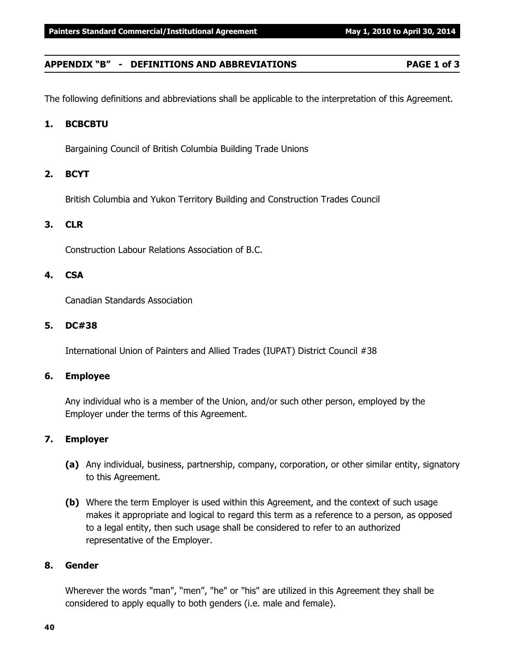#### **APPENDIX "B" - DEFINITIONS AND ABBREVIATIONS PAGE 1 of 3**

The following definitions and abbreviations shall be applicable to the interpretation of this Agreement.

### **1. BCBCBTU**

Bargaining Council of British Columbia Building Trade Unions

#### **2. BCYT**

British Columbia and Yukon Territory Building and Construction Trades Council

#### **3. CLR**

Construction Labour Relations Association of B.C.

#### **4. CSA**

Canadian Standards Association

#### **5. DC#38**

International Union of Painters and Allied Trades (IUPAT) District Council #38

### **6. Employee**

Any individual who is a member of the Union, and/or such other person, employed by the Employer under the terms of this Agreement.

### **7. Employer**

- **(a)** Any individual, business, partnership, company, corporation, or other similar entity, signatory to this Agreement.
- **(b)** Where the term Employer is used within this Agreement, and the context of such usage makes it appropriate and logical to regard this term as a reference to a person, as opposed to a legal entity, then such usage shall be considered to refer to an authorized representative of the Employer.

#### **8. Gender**

Wherever the words "man", "men", "he" or "his" are utilized in this Agreement they shall be considered to apply equally to both genders (i.e. male and female).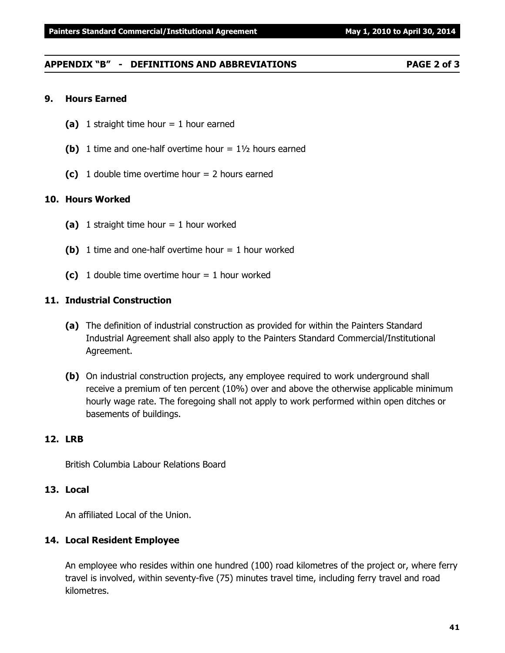# **APPENDIX "B" - DEFINITIONS AND ABBREVIATIONS PAGE 2 of 3**

# **9. Hours Earned**

- **(a)** 1 straight time hour = 1 hour earned
- **(b)** 1 time and one-half overtime hour = 1½ hours earned
- **(c)** 1 double time overtime hour = 2 hours earned

# **10. Hours Worked**

- **(a)** 1 straight time hour = 1 hour worked
- **(b)** 1 time and one-half overtime hour = 1 hour worked
- **(c)** 1 double time overtime hour  $= 1$  hour worked

# **11. Industrial Construction**

- **(a)** The definition of industrial construction as provided for within the Painters Standard Industrial Agreement shall also apply to the Painters Standard Commercial/Institutional Agreement.
- **(b)** On industrial construction projects, any employee required to work underground shall receive a premium of ten percent (10%) over and above the otherwise applicable minimum hourly wage rate. The foregoing shall not apply to work performed within open ditches or basements of buildings.

# **12. LRB**

British Columbia Labour Relations Board

# **13. Local**

An affiliated Local of the Union.

# **14. Local Resident Employee**

An employee who resides within one hundred (100) road kilometres of the project or, where ferry travel is involved, within seventy-five (75) minutes travel time, including ferry travel and road kilometres.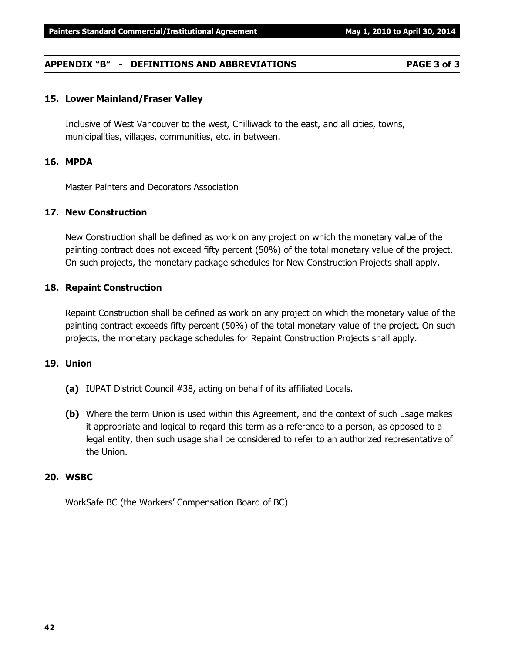#### **APPENDIX "B" - DEFINITIONS AND ABBREVIATIONS PAGE 3 of 3**

#### **15. Lower Mainland/Fraser Valley**

Inclusive of West Vancouver to the west, Chilliwack to the east, and all cities, towns, municipalities, villages, communities, etc. in between.

#### **16. MPDA**

Master Painters and Decorators Association

#### **17. New Construction**

New Construction shall be defined as work on any project on which the monetary value of the painting contract does not exceed fifty percent (50%) of the total monetary value of the project. On such projects, the monetary package schedules for New Construction Projects shall apply.

#### **18. Repaint Construction**

Repaint Construction shall be defined as work on any project on which the monetary value of the painting contract exceeds fifty percent (50%) of the total monetary value of the project. On such projects, the monetary package schedules for Repaint Construction Projects shall apply.

#### **19. Union**

- **(a)** IUPAT District Council #38, acting on behalf of its affiliated Locals.
- **(b)** Where the term Union is used within this Agreement, and the context of such usage makes it appropriate and logical to regard this term as a reference to a person, as opposed to a legal entity, then such usage shall be considered to refer to an authorized representative of the Union.

#### **20. WSBC**

WorkSafe BC (the Workers' Compensation Board of BC)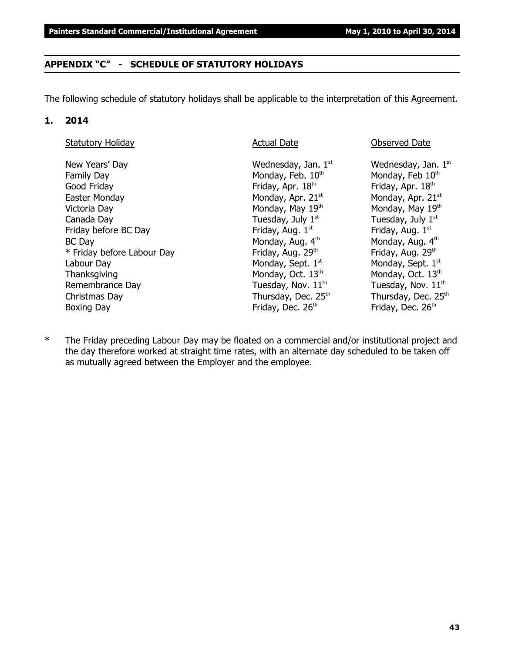# **APPENDIX "C" - SCHEDULE OF STATUTORY HOLIDAYS**

The following schedule of statutory holidays shall be applicable to the interpretation of this Agreement.

### **1. 2014**

| <b>Statutory Holiday</b>   | <b>Actual Date</b>            | Observed Date                   |
|----------------------------|-------------------------------|---------------------------------|
| New Years' Day             | Wednesday, Jan. $1st$         | Wednesday, Jan. $1st$           |
| Family Day                 | Monday, Feb. 10th             | Monday, Feb 10th                |
| Good Friday                | Friday, Apr. 18th             | Friday, Apr. 18th               |
| Easter Monday              | Monday, Apr. 21 <sup>st</sup> | Monday, Apr. 21 <sup>st</sup>   |
| Victoria Day               | Monday, May 19th              | Monday, May 19th                |
| Canada Day                 | Tuesday, July $1st$           | Tuesday, July $1st$             |
| Friday before BC Day       | Friday, Aug. 1st              | Friday, Aug. 1st                |
| BC Day                     | Monday, Aug. 4th              | Monday, Aug. 4th                |
| * Friday before Labour Day | Friday, Aug. 29th             | Friday, Aug. 29th               |
| Labour Day                 | Monday, Sept. 1st             | Monday, Sept. 1st               |
| Thanksgiving               | Monday, Oct. 13th             | Monday, Oct. 13 <sup>th</sup>   |
| Remembrance Day            | Tuesday, Nov. $11th$          | Tuesday, Nov. 11 <sup>th</sup>  |
| Christmas Day              | Thursday, Dec. 25th           | Thursday, Dec. 25 <sup>th</sup> |
| <b>Boxing Day</b>          | Friday, Dec. 26th             | Friday, Dec. 26th               |
|                            |                               |                                 |

\* The Friday preceding Labour Day may be floated on a commercial and/or institutional project and the day therefore worked at straight time rates, with an alternate day scheduled to be taken off as mutually agreed between the Employer and the employee.